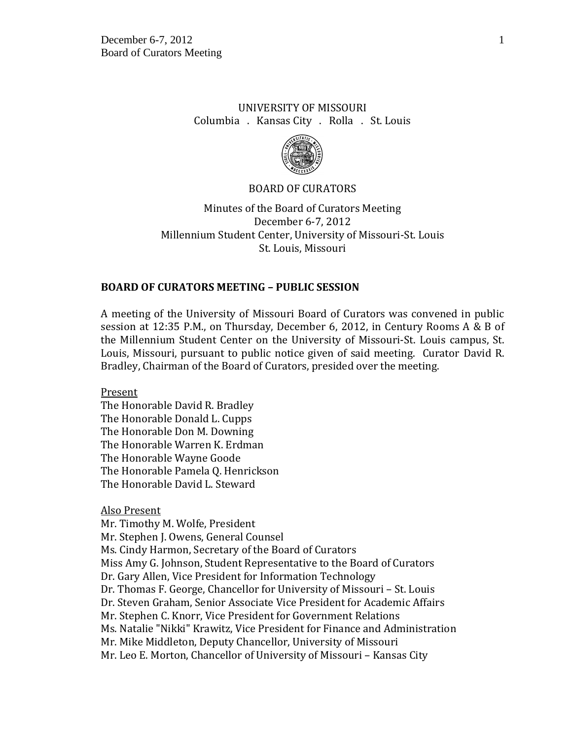## UNIVERSITY OF MISSOURI Columbia . Kansas City . Rolla . St. Louis



### BOARD OF CURATORS

Minutes of the Board of Curators Meeting December 6-7, 2012 Millennium Student Center, University of Missouri-St. Louis St. Louis, Missouri

## **BOARD OF CURATORS MEETING – PUBLIC SESSION**

A meeting of the University of Missouri Board of Curators was convened in public session at 12:35 P.M., on Thursday, December 6, 2012, in Century Rooms A & B of the Millennium Student Center on the University of Missouri-St. Louis campus, St. Louis, Missouri, pursuant to public notice given of said meeting. Curator David R. Bradley, Chairman of the Board of Curators, presided over the meeting.

Present

The Honorable David R. Bradley The Honorable Donald L. Cupps The Honorable Don M. Downing The Honorable Warren K. Erdman The Honorable Wayne Goode The Honorable Pamela Q. Henrickson The Honorable David L. Steward

Also Present

Mr. Timothy M. Wolfe, President Mr. Stephen J. Owens, General Counsel Ms. Cindy Harmon, Secretary of the Board of Curators Miss Amy G. Johnson, Student Representative to the Board of Curators Dr. Gary Allen, Vice President for Information Technology Dr. Thomas F. George, Chancellor for University of Missouri – St. Louis Dr. Steven Graham, Senior Associate Vice President for Academic Affairs Mr. Stephen C. Knorr, Vice President for Government Relations Ms. Natalie "Nikki" Krawitz, Vice President for Finance and Administration Mr. Mike Middleton, Deputy Chancellor, University of Missouri Mr. Leo E. Morton, Chancellor of University of Missouri – Kansas City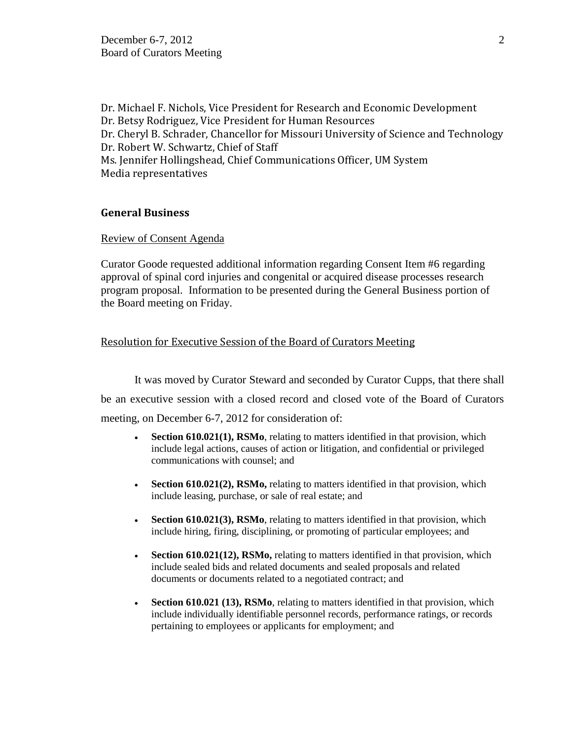Dr. Michael F. Nichols, Vice President for Research and Economic Development Dr. Betsy Rodriguez, Vice President for Human Resources Dr. Cheryl B. Schrader, Chancellor for Missouri University of Science and Technology Dr. Robert W. Schwartz, Chief of Staff Ms. Jennifer Hollingshead, Chief Communications Officer, UM System Media representatives

### **General Business**

### Review of Consent Agenda

Curator Goode requested additional information regarding Consent Item #6 regarding approval of spinal cord injuries and congenital or acquired disease processes research program proposal. Information to be presented during the General Business portion of the Board meeting on Friday.

## Resolution for Executive Session of the Board of Curators Meeting

It was moved by Curator Steward and seconded by Curator Cupps, that there shall be an executive session with a closed record and closed vote of the Board of Curators meeting, on December 6-7, 2012 for consideration of:

- **Section 610.021(1), RSMo**, relating to matters identified in that provision, which include legal actions, causes of action or litigation, and confidential or privileged communications with counsel; and
- **Section 610.021(2), RSMo,** relating to matters identified in that provision, which include leasing, purchase, or sale of real estate; and
- **Section 610.021(3), RSMo**, relating to matters identified in that provision, which include hiring, firing, disciplining, or promoting of particular employees; and
- **Section 610.021(12), RSMo,** relating to matters identified in that provision, which include sealed bids and related documents and sealed proposals and related documents or documents related to a negotiated contract; and
- **Section 610.021 (13), RSMo**, relating to matters identified in that provision, which include individually identifiable personnel records, performance ratings, or records pertaining to employees or applicants for employment; and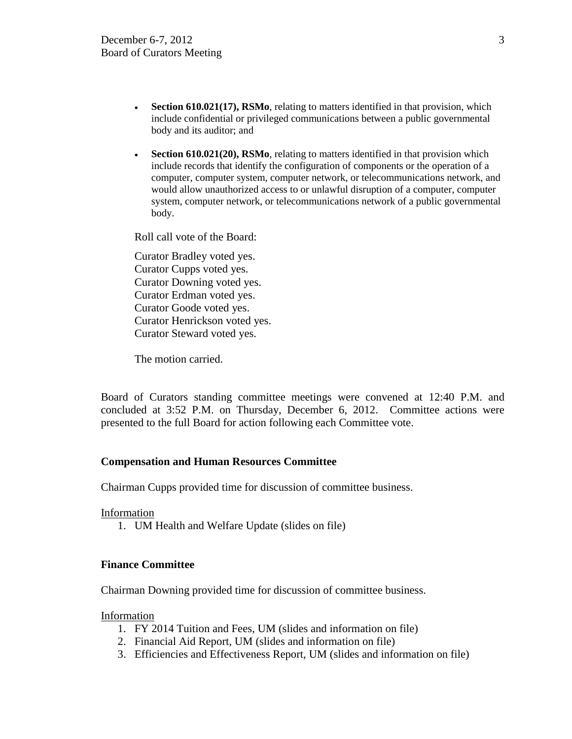- **Section 610.021(17), RSMo**, relating to matters identified in that provision, which include confidential or privileged communications between a public governmental body and its auditor; and
- **Section 610.021(20), RSMo**, relating to matters identified in that provision which include records that identify the configuration of components or the operation of a computer, computer system, computer network, or telecommunications network, and would allow unauthorized access to or unlawful disruption of a computer, computer system, computer network, or telecommunications network of a public governmental body.

Roll call vote of the Board:

Curator Bradley voted yes. Curator Cupps voted yes. Curator Downing voted yes. Curator Erdman voted yes. Curator Goode voted yes. Curator Henrickson voted yes. Curator Steward voted yes.

The motion carried.

Board of Curators standing committee meetings were convened at 12:40 P.M. and concluded at 3:52 P.M. on Thursday, December 6, 2012. Committee actions were presented to the full Board for action following each Committee vote.

#### **Compensation and Human Resources Committee**

Chairman Cupps provided time for discussion of committee business.

Information

1. UM Health and Welfare Update (slides on file)

### **Finance Committee**

Chairman Downing provided time for discussion of committee business.

Information

- 1. FY 2014 Tuition and Fees, UM (slides and information on file)
- 2. Financial Aid Report, UM (slides and information on file)
- 3. Efficiencies and Effectiveness Report, UM (slides and information on file)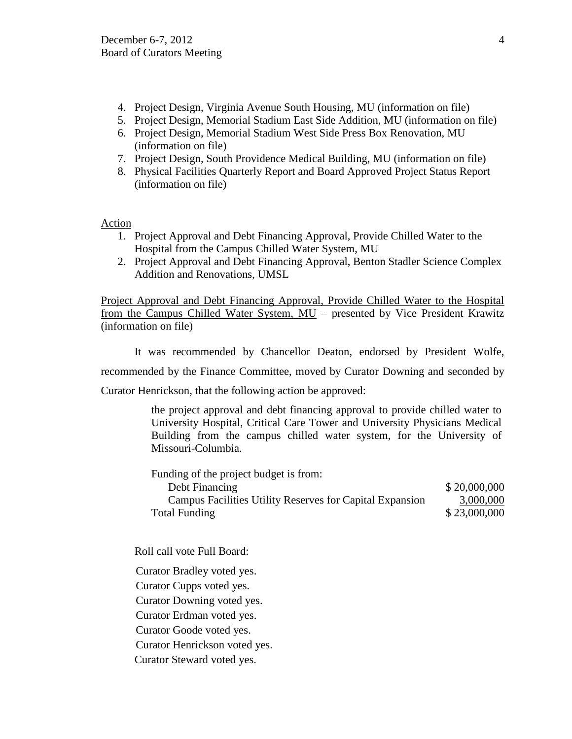- 4. Project Design, Virginia Avenue South Housing, MU (information on file)
- 5. Project Design, Memorial Stadium East Side Addition, MU (information on file)
- 6. Project Design, Memorial Stadium West Side Press Box Renovation, MU (information on file)
- 7. Project Design, South Providence Medical Building, MU (information on file)
- 8. Physical Facilities Quarterly Report and Board Approved Project Status Report (information on file)

## Action

- 1. Project Approval and Debt Financing Approval, Provide Chilled Water to the Hospital from the Campus Chilled Water System, MU
- 2. Project Approval and Debt Financing Approval, Benton Stadler Science Complex Addition and Renovations, UMSL

Project Approval and Debt Financing Approval, Provide Chilled Water to the Hospital from the Campus Chilled Water System, MU – presented by Vice President Krawitz (information on file)

It was recommended by Chancellor Deaton, endorsed by President Wolfe,

recommended by the Finance Committee, moved by Curator Downing and seconded by

Curator Henrickson, that the following action be approved:

the project approval and debt financing approval to provide chilled water to University Hospital, Critical Care Tower and University Physicians Medical Building from the campus chilled water system, for the University of Missouri-Columbia.

| Funding of the project budget is from:                   |              |
|----------------------------------------------------------|--------------|
| Debt Financing                                           | \$20,000,000 |
| Campus Facilities Utility Reserves for Capital Expansion | 3,000,000    |
| Total Funding                                            | \$23,000,000 |

Roll call vote Full Board:

Curator Bradley voted yes.

Curator Cupps voted yes.

Curator Downing voted yes.

Curator Erdman voted yes.

Curator Goode voted yes.

Curator Henrickson voted yes.

Curator Steward voted yes.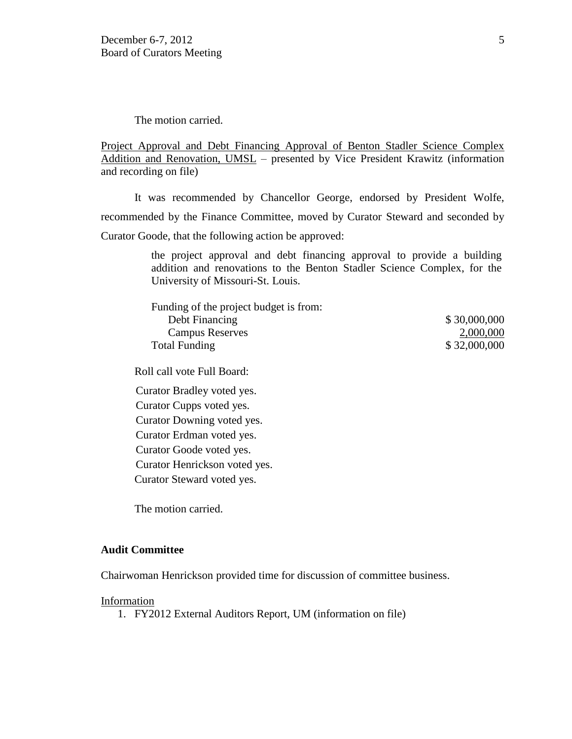The motion carried.

Project Approval and Debt Financing Approval of Benton Stadler Science Complex Addition and Renovation, UMSL – presented by Vice President Krawitz (information and recording on file)

It was recommended by Chancellor George, endorsed by President Wolfe, recommended by the Finance Committee, moved by Curator Steward and seconded by Curator Goode, that the following action be approved:

> the project approval and debt financing approval to provide a building addition and renovations to the Benton Stadler Science Complex, for the University of Missouri-St. Louis.

| Funding of the project budget is from: |              |
|----------------------------------------|--------------|
| Debt Financing                         | \$30,000,000 |
| <b>Campus Reserves</b>                 | 2,000,000    |
| Total Funding                          | \$32,000,000 |

Roll call vote Full Board:

Curator Bradley voted yes.

Curator Cupps voted yes. Curator Downing voted yes. Curator Erdman voted yes. Curator Goode voted yes. Curator Henrickson voted yes. Curator Steward voted yes.

The motion carried.

#### **Audit Committee**

Chairwoman Henrickson provided time for discussion of committee business.

#### Information

1. FY2012 External Auditors Report, UM (information on file)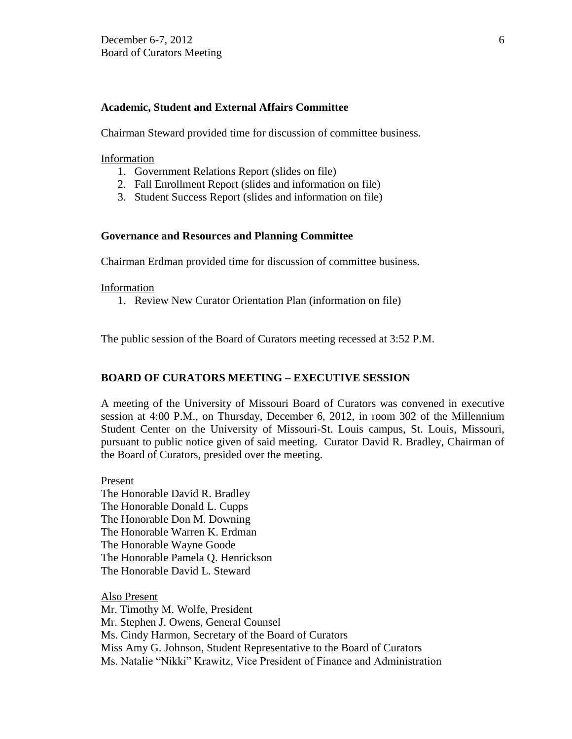### **Academic, Student and External Affairs Committee**

Chairman Steward provided time for discussion of committee business.

Information

- 1. Government Relations Report (slides on file)
- 2. Fall Enrollment Report (slides and information on file)
- 3. Student Success Report (slides and information on file)

#### **Governance and Resources and Planning Committee**

Chairman Erdman provided time for discussion of committee business.

#### Information

1. Review New Curator Orientation Plan (information on file)

The public session of the Board of Curators meeting recessed at 3:52 P.M.

## **BOARD OF CURATORS MEETING – EXECUTIVE SESSION**

A meeting of the University of Missouri Board of Curators was convened in executive session at 4:00 P.M., on Thursday, December 6, 2012, in room 302 of the Millennium Student Center on the University of Missouri-St. Louis campus, St. Louis, Missouri, pursuant to public notice given of said meeting. Curator David R. Bradley, Chairman of the Board of Curators, presided over the meeting.

Present The Honorable David R. Bradley The Honorable Donald L. Cupps The Honorable Don M. Downing The Honorable Warren K. Erdman The Honorable Wayne Goode The Honorable Pamela Q. Henrickson The Honorable David L. Steward

Also Present Mr. Timothy M. Wolfe, President Mr. Stephen J. Owens, General Counsel Ms. Cindy Harmon, Secretary of the Board of Curators Miss Amy G. Johnson, Student Representative to the Board of Curators Ms. Natalie "Nikki" Krawitz, Vice President of Finance and Administration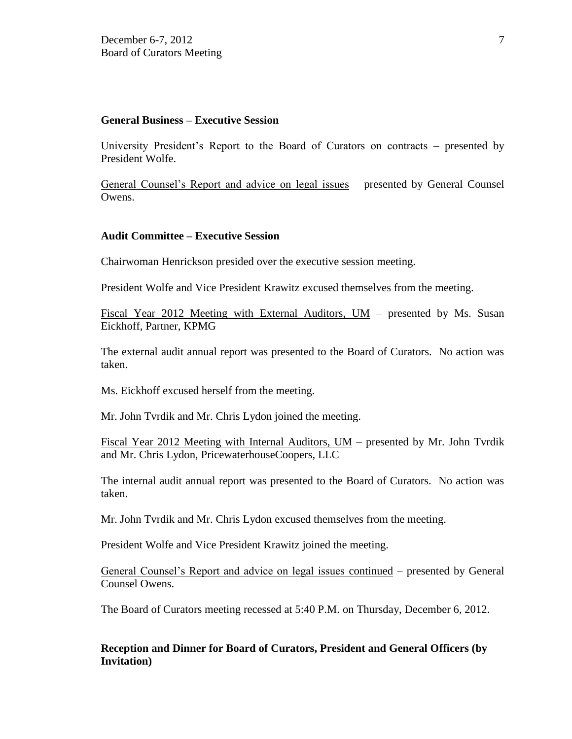### **General Business – Executive Session**

University President's Report to the Board of Curators on contracts – presented by President Wolfe.

General Counsel's Report and advice on legal issues – presented by General Counsel Owens.

#### **Audit Committee – Executive Session**

Chairwoman Henrickson presided over the executive session meeting.

President Wolfe and Vice President Krawitz excused themselves from the meeting.

Fiscal Year 2012 Meeting with External Auditors, UM – presented by Ms. Susan Eickhoff, Partner, KPMG

The external audit annual report was presented to the Board of Curators. No action was taken.

Ms. Eickhoff excused herself from the meeting.

Mr. John Tvrdik and Mr. Chris Lydon joined the meeting.

Fiscal Year 2012 Meeting with Internal Auditors, UM – presented by Mr. John Tvrdik and Mr. Chris Lydon, PricewaterhouseCoopers, LLC

The internal audit annual report was presented to the Board of Curators. No action was taken.

Mr. John Tvrdik and Mr. Chris Lydon excused themselves from the meeting.

President Wolfe and Vice President Krawitz joined the meeting.

General Counsel's Report and advice on legal issues continued – presented by General Counsel Owens.

The Board of Curators meeting recessed at 5:40 P.M. on Thursday, December 6, 2012.

## **Reception and Dinner for Board of Curators, President and General Officers (by Invitation)**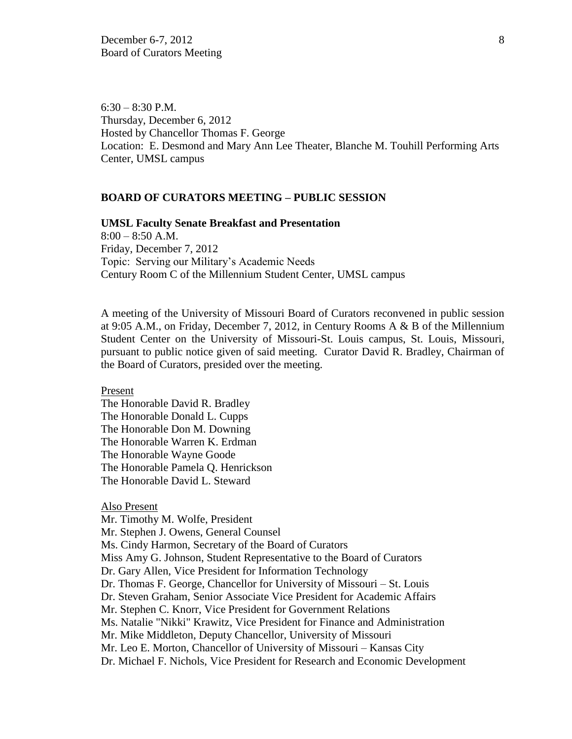$6:30 - 8:30$  P.M. Thursday, December 6, 2012 Hosted by Chancellor Thomas F. George Location: E. Desmond and Mary Ann Lee Theater, Blanche M. Touhill Performing Arts Center, UMSL campus

### **BOARD OF CURATORS MEETING – PUBLIC SESSION**

#### **UMSL Faculty Senate Breakfast and Presentation**

 $8:00 - 8:50$  A.M. Friday, December 7, 2012 Topic: Serving our Military's Academic Needs Century Room C of the Millennium Student Center, UMSL campus

A meeting of the University of Missouri Board of Curators reconvened in public session at 9:05 A.M., on Friday, December 7, 2012, in Century Rooms A & B of the Millennium Student Center on the University of Missouri-St. Louis campus, St. Louis, Missouri, pursuant to public notice given of said meeting. Curator David R. Bradley, Chairman of the Board of Curators, presided over the meeting.

Present

The Honorable David R. Bradley The Honorable Donald L. Cupps The Honorable Don M. Downing The Honorable Warren K. Erdman The Honorable Wayne Goode The Honorable Pamela Q. Henrickson The Honorable David L. Steward

#### Also Present

Mr. Timothy M. Wolfe, President Mr. Stephen J. Owens, General Counsel Ms. Cindy Harmon, Secretary of the Board of Curators Miss Amy G. Johnson, Student Representative to the Board of Curators Dr. Gary Allen, Vice President for Information Technology Dr. Thomas F. George, Chancellor for University of Missouri – St. Louis Dr. Steven Graham, Senior Associate Vice President for Academic Affairs Mr. Stephen C. Knorr, Vice President for Government Relations Ms. Natalie "Nikki" Krawitz, Vice President for Finance and Administration Mr. Mike Middleton, Deputy Chancellor, University of Missouri Mr. Leo E. Morton, Chancellor of University of Missouri – Kansas City Dr. Michael F. Nichols, Vice President for Research and Economic Development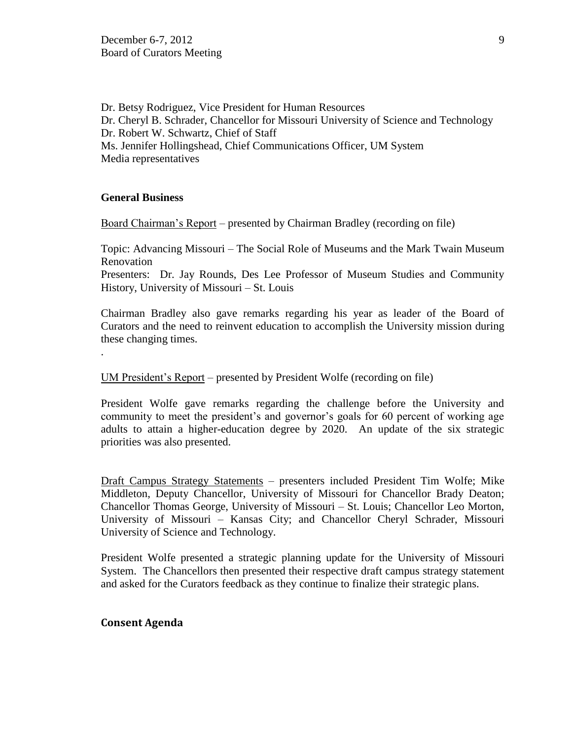Dr. Betsy Rodriguez, Vice President for Human Resources Dr. Cheryl B. Schrader, Chancellor for Missouri University of Science and Technology Dr. Robert W. Schwartz, Chief of Staff Ms. Jennifer Hollingshead, Chief Communications Officer, UM System Media representatives

### **General Business**

.

Board Chairman's Report – presented by Chairman Bradley (recording on file)

Topic: Advancing Missouri – The Social Role of Museums and the Mark Twain Museum Renovation

Presenters: Dr. Jay Rounds, Des Lee Professor of Museum Studies and Community History, University of Missouri – St. Louis

Chairman Bradley also gave remarks regarding his year as leader of the Board of Curators and the need to reinvent education to accomplish the University mission during these changing times.

UM President's Report – presented by President Wolfe (recording on file)

President Wolfe gave remarks regarding the challenge before the University and community to meet the president's and governor's goals for 60 percent of working age adults to attain a higher-education degree by 2020. An update of the six strategic priorities was also presented.

Draft Campus Strategy Statements – presenters included President Tim Wolfe; Mike Middleton, Deputy Chancellor, University of Missouri for Chancellor Brady Deaton; Chancellor Thomas George, University of Missouri – St. Louis; Chancellor Leo Morton, University of Missouri – Kansas City; and Chancellor Cheryl Schrader, Missouri University of Science and Technology.

President Wolfe presented a strategic planning update for the University of Missouri System. The Chancellors then presented their respective draft campus strategy statement and asked for the Curators feedback as they continue to finalize their strategic plans.

## **Consent Agenda**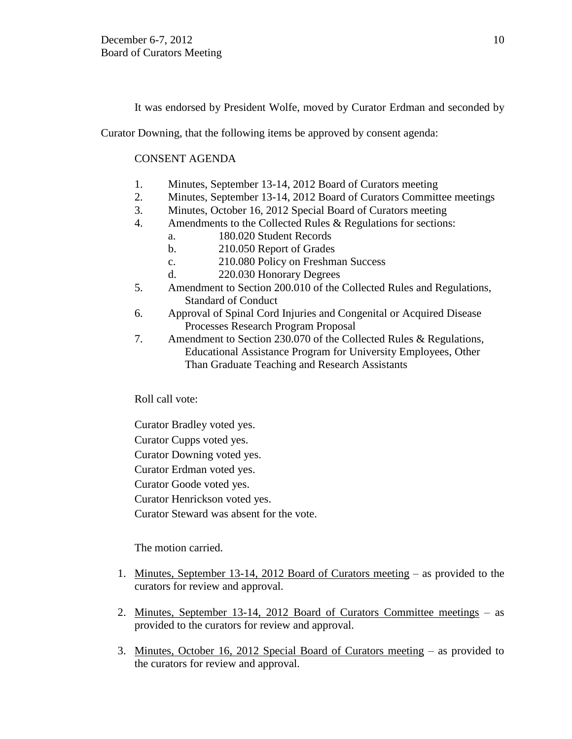It was endorsed by President Wolfe, moved by Curator Erdman and seconded by

Curator Downing, that the following items be approved by consent agenda:

## CONSENT AGENDA

- 1. Minutes, September 13-14, 2012 Board of Curators meeting
- 2. Minutes, September 13-14, 2012 Board of Curators Committee meetings
- 3. Minutes, October 16, 2012 Special Board of Curators meeting
- 4. Amendments to the Collected Rules & Regulations for sections:
	- a. 180.020 Student Records
	- b. 210.050 Report of Grades
	- c. 210.080 Policy on Freshman Success
	- d. 220.030 Honorary Degrees
- 5. Amendment to Section 200.010 of the Collected Rules and Regulations, Standard of Conduct
- 6. Approval of Spinal Cord Injuries and Congenital or Acquired Disease Processes Research Program Proposal
- 7. Amendment to Section 230.070 of the Collected Rules & Regulations, Educational Assistance Program for University Employees, Other Than Graduate Teaching and Research Assistants

Roll call vote:

Curator Bradley voted yes.

Curator Cupps voted yes.

Curator Downing voted yes.

Curator Erdman voted yes.

Curator Goode voted yes.

Curator Henrickson voted yes.

Curator Steward was absent for the vote.

The motion carried.

- 1. Minutes, September 13-14, 2012 Board of Curators meeting as provided to the curators for review and approval.
- 2. Minutes, September 13-14, 2012 Board of Curators Committee meetings as provided to the curators for review and approval.
- 3. Minutes, October 16, 2012 Special Board of Curators meeting as provided to the curators for review and approval.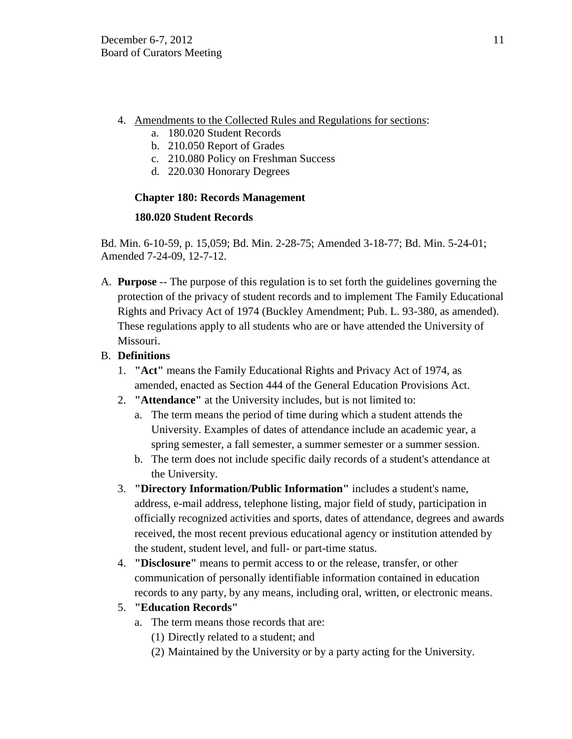- 4. Amendments to the Collected Rules and Regulations for sections:
	- a. 180.020 Student Records
	- b. 210.050 Report of Grades
	- c. 210.080 Policy on Freshman Success
	- d. 220.030 Honorary Degrees

# **Chapter 180: Records Management**

## **180.020 Student Records**

Bd. Min. 6-10-59, p. 15,059; Bd. Min. 2-28-75; Amended 3-18-77; Bd. Min. 5-24-01; Amended 7-24-09, 12-7-12.

A. **Purpose** -- The purpose of this regulation is to set forth the guidelines governing the protection of the privacy of student records and to implement The Family Educational Rights and Privacy Act of 1974 (Buckley Amendment; Pub. L. 93-380, as amended). These regulations apply to all students who are or have attended the University of Missouri.

# B. **Definitions**

- 1. **"Act"** means the Family Educational Rights and Privacy Act of 1974, as amended, enacted as Section 444 of the General Education Provisions Act.
- 2. **"Attendance"** at the University includes, but is not limited to:
	- a. The term means the period of time during which a student attends the University. Examples of dates of attendance include an academic year, a spring semester, a fall semester, a summer semester or a summer session.
	- b. The term does not include specific daily records of a student's attendance at the University.
- 3. **"Directory Information/Public Information"** includes a student's name, address, e-mail address, telephone listing, major field of study, participation in officially recognized activities and sports, dates of attendance, degrees and awards received, the most recent previous educational agency or institution attended by the student, student level, and full- or part-time status.
- 4. **"Disclosure"** means to permit access to or the release, transfer, or other communication of personally identifiable information contained in education records to any party, by any means, including oral, written, or electronic means.
- 5. **"Education Records"** 
	- a. The term means those records that are:
		- (1) Directly related to a student; and
		- (2) Maintained by the University or by a party acting for the University.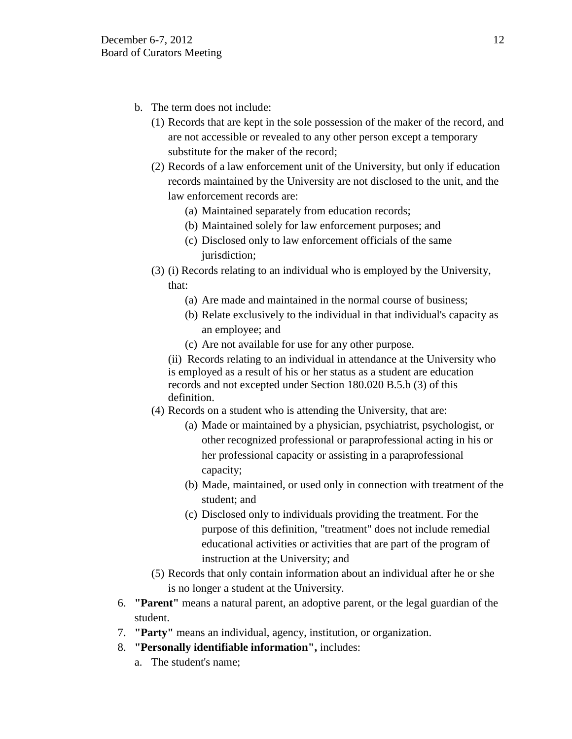- b. The term does not include:
	- (1) Records that are kept in the sole possession of the maker of the record, and are not accessible or revealed to any other person except a temporary substitute for the maker of the record;
	- (2) Records of a law enforcement unit of the University, but only if education records maintained by the University are not disclosed to the unit, and the law enforcement records are:
		- (a) Maintained separately from education records;
		- (b) Maintained solely for law enforcement purposes; and
		- (c) Disclosed only to law enforcement officials of the same jurisdiction;
	- (3) (i) Records relating to an individual who is employed by the University, that:
		- (a) Are made and maintained in the normal course of business;
		- (b) Relate exclusively to the individual in that individual's capacity as an employee; and
		- (c) Are not available for use for any other purpose.

(ii) Records relating to an individual in attendance at the University who is employed as a result of his or her status as a student are education records and not excepted under Section 180.020 B.5.b (3) of this definition.

- (4) Records on a student who is attending the University, that are:
	- (a) Made or maintained by a physician, psychiatrist, psychologist, or other recognized professional or paraprofessional acting in his or her professional capacity or assisting in a paraprofessional capacity;
	- (b) Made, maintained, or used only in connection with treatment of the student; and
	- (c) Disclosed only to individuals providing the treatment. For the purpose of this definition, "treatment" does not include remedial educational activities or activities that are part of the program of instruction at the University; and
- (5) Records that only contain information about an individual after he or she is no longer a student at the University.
- 6. **"Parent"** means a natural parent, an adoptive parent, or the legal guardian of the student.
- 7. **"Party"** means an individual, agency, institution, or organization.
- 8. **"Personally identifiable information",** includes:
	- a. The student's name;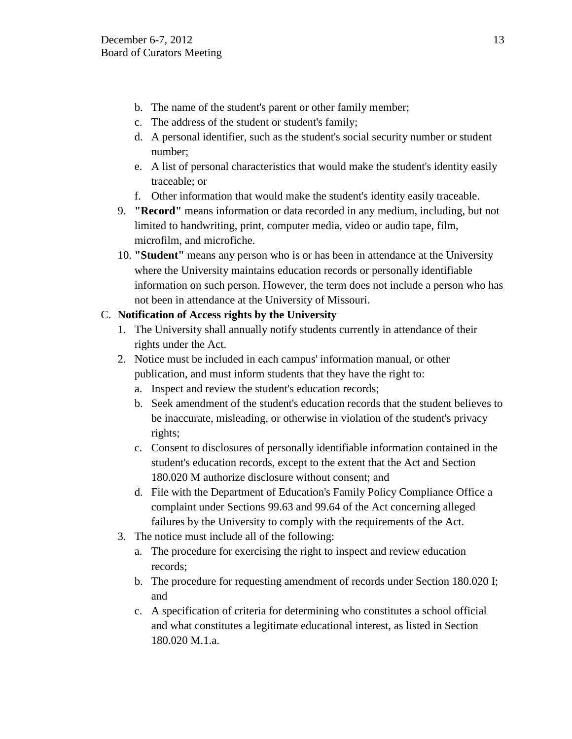- b. The name of the student's parent or other family member;
- c. The address of the student or student's family;
- d. A personal identifier, such as the student's social security number or student number;
- e. A list of personal characteristics that would make the student's identity easily traceable; or
- f. Other information that would make the student's identity easily traceable.
- 9. **"Record"** means information or data recorded in any medium, including, but not limited to handwriting, print, computer media, video or audio tape, film, microfilm, and microfiche.
- 10. **"Student"** means any person who is or has been in attendance at the University where the University maintains education records or personally identifiable information on such person. However, the term does not include a person who has not been in attendance at the University of Missouri.

# C. **Notification of Access rights by the University**

- 1. The University shall annually notify students currently in attendance of their rights under the Act.
- 2. Notice must be included in each campus' information manual, or other publication, and must inform students that they have the right to:
	- a. Inspect and review the student's education records;
	- b. Seek amendment of the student's education records that the student believes to be inaccurate, misleading, or otherwise in violation of the student's privacy rights;
	- c. Consent to disclosures of personally identifiable information contained in the student's education records, except to the extent that the Act and Section 180.020 M authorize disclosure without consent; and
	- d. File with the Department of Education's Family Policy Compliance Office a complaint under Sections 99.63 and 99.64 of the Act concerning alleged failures by the University to comply with the requirements of the Act.
- 3. The notice must include all of the following:
	- a. The procedure for exercising the right to inspect and review education records;
	- b. The procedure for requesting amendment of records under Section 180.020 I; and
	- c. A specification of criteria for determining who constitutes a school official and what constitutes a legitimate educational interest, as listed in Section 180.020 M.1.a.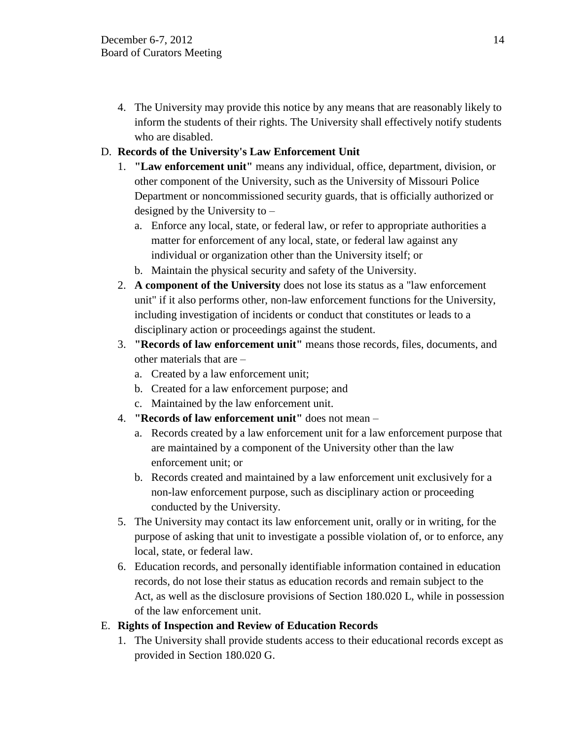4. The University may provide this notice by any means that are reasonably likely to inform the students of their rights. The University shall effectively notify students who are disabled.

# D. **Records of the University's Law Enforcement Unit**

- 1. **"Law enforcement unit"** means any individual, office, department, division, or other component of the University, such as the University of Missouri Police Department or noncommissioned security guards, that is officially authorized or designed by the University to –
	- a. Enforce any local, state, or federal law, or refer to appropriate authorities a matter for enforcement of any local, state, or federal law against any individual or organization other than the University itself; or
	- b. Maintain the physical security and safety of the University.
- 2. **A component of the University** does not lose its status as a "law enforcement unit" if it also performs other, non-law enforcement functions for the University, including investigation of incidents or conduct that constitutes or leads to a disciplinary action or proceedings against the student.
- 3. **"Records of law enforcement unit"** means those records, files, documents, and other materials that are –
	- a. Created by a law enforcement unit;
	- b. Created for a law enforcement purpose; and
	- c. Maintained by the law enforcement unit.
- 4. **"Records of law enforcement unit"** does not mean
	- a. Records created by a law enforcement unit for a law enforcement purpose that are maintained by a component of the University other than the law enforcement unit; or
	- b. Records created and maintained by a law enforcement unit exclusively for a non-law enforcement purpose, such as disciplinary action or proceeding conducted by the University.
- 5. The University may contact its law enforcement unit, orally or in writing, for the purpose of asking that unit to investigate a possible violation of, or to enforce, any local, state, or federal law.
- 6. Education records, and personally identifiable information contained in education records, do not lose their status as education records and remain subject to the Act, as well as the disclosure provisions of Section 180.020 L, while in possession of the law enforcement unit.

# E. **Rights of Inspection and Review of Education Records**

1. The University shall provide students access to their educational records except as provided in Section 180.020 G.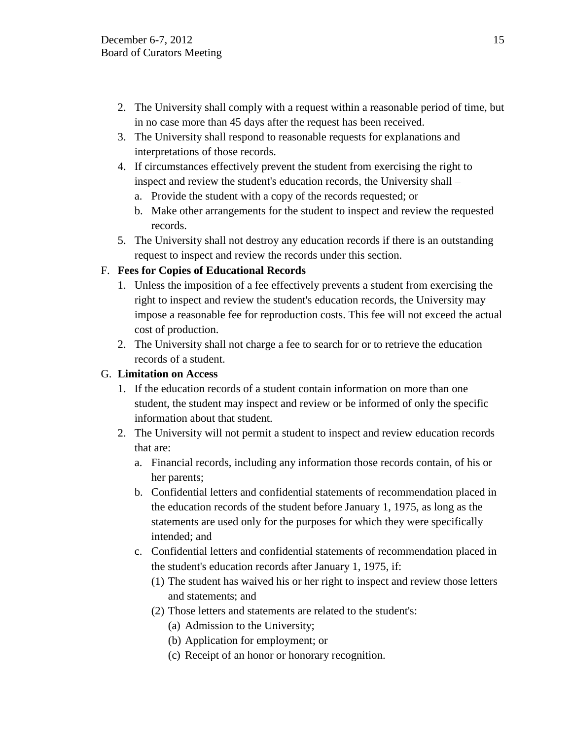- 2. The University shall comply with a request within a reasonable period of time, but in no case more than 45 days after the request has been received.
- 3. The University shall respond to reasonable requests for explanations and interpretations of those records.
- 4. If circumstances effectively prevent the student from exercising the right to inspect and review the student's education records, the University shall –
	- a. Provide the student with a copy of the records requested; or
	- b. Make other arrangements for the student to inspect and review the requested records.
- 5. The University shall not destroy any education records if there is an outstanding request to inspect and review the records under this section.

# F. **Fees for Copies of Educational Records**

- 1. Unless the imposition of a fee effectively prevents a student from exercising the right to inspect and review the student's education records, the University may impose a reasonable fee for reproduction costs. This fee will not exceed the actual cost of production.
- 2. The University shall not charge a fee to search for or to retrieve the education records of a student.

# G. **Limitation on Access**

- 1. If the education records of a student contain information on more than one student, the student may inspect and review or be informed of only the specific information about that student.
- 2. The University will not permit a student to inspect and review education records that are:
	- a. Financial records, including any information those records contain, of his or her parents;
	- b. Confidential letters and confidential statements of recommendation placed in the education records of the student before January 1, 1975, as long as the statements are used only for the purposes for which they were specifically intended; and
	- c. Confidential letters and confidential statements of recommendation placed in the student's education records after January 1, 1975, if:
		- (1) The student has waived his or her right to inspect and review those letters and statements; and
		- (2) Those letters and statements are related to the student's:
			- (a) Admission to the University;
			- (b) Application for employment; or
			- (c) Receipt of an honor or honorary recognition.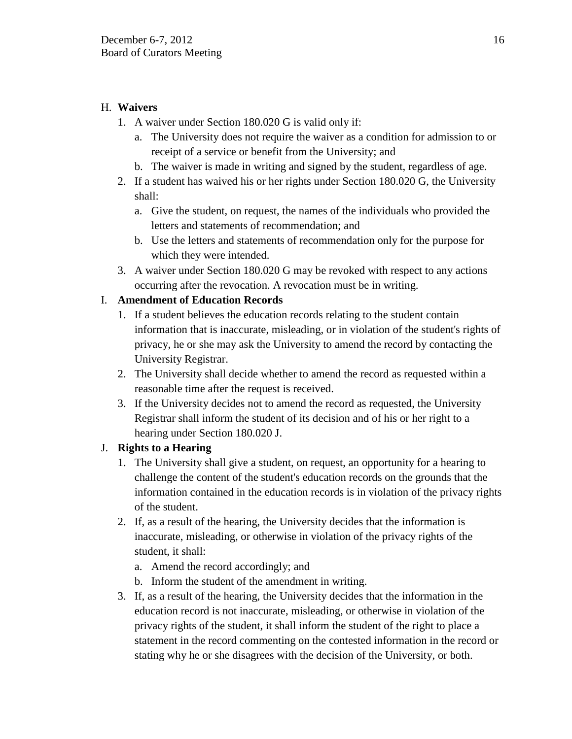## H. **Waivers**

- 1. A waiver under Section 180.020 G is valid only if:
	- a. The University does not require the waiver as a condition for admission to or receipt of a service or benefit from the University; and
	- b. The waiver is made in writing and signed by the student, regardless of age.
- 2. If a student has waived his or her rights under Section 180.020 G, the University shall:
	- a. Give the student, on request, the names of the individuals who provided the letters and statements of recommendation; and
	- b. Use the letters and statements of recommendation only for the purpose for which they were intended.
- 3. A waiver under Section 180.020 G may be revoked with respect to any actions occurring after the revocation. A revocation must be in writing.

# I. **Amendment of Education Records**

- 1. If a student believes the education records relating to the student contain information that is inaccurate, misleading, or in violation of the student's rights of privacy, he or she may ask the University to amend the record by contacting the University Registrar.
- 2. The University shall decide whether to amend the record as requested within a reasonable time after the request is received.
- 3. If the University decides not to amend the record as requested, the University Registrar shall inform the student of its decision and of his or her right to a hearing under Section 180.020 J.

# J. **Rights to a Hearing**

- 1. The University shall give a student, on request, an opportunity for a hearing to challenge the content of the student's education records on the grounds that the information contained in the education records is in violation of the privacy rights of the student.
- 2. If, as a result of the hearing, the University decides that the information is inaccurate, misleading, or otherwise in violation of the privacy rights of the student, it shall:
	- a. Amend the record accordingly; and
	- b. Inform the student of the amendment in writing.
- 3. If, as a result of the hearing, the University decides that the information in the education record is not inaccurate, misleading, or otherwise in violation of the privacy rights of the student, it shall inform the student of the right to place a statement in the record commenting on the contested information in the record or stating why he or she disagrees with the decision of the University, or both.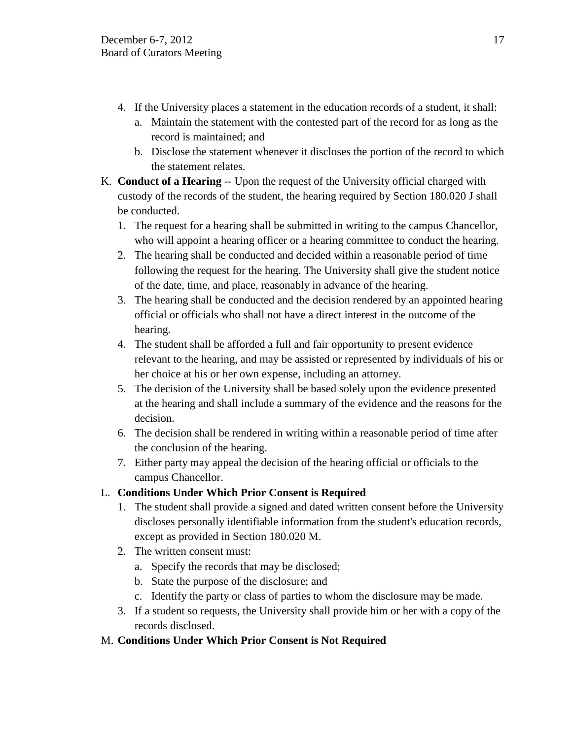- 4. If the University places a statement in the education records of a student, it shall:
	- a. Maintain the statement with the contested part of the record for as long as the record is maintained; and
	- b. Disclose the statement whenever it discloses the portion of the record to which the statement relates.
- K. **Conduct of a Hearing** -- Upon the request of the University official charged with custody of the records of the student, the hearing required by Section 180.020 J shall be conducted.
	- 1. The request for a hearing shall be submitted in writing to the campus Chancellor, who will appoint a hearing officer or a hearing committee to conduct the hearing.
	- 2. The hearing shall be conducted and decided within a reasonable period of time following the request for the hearing. The University shall give the student notice of the date, time, and place, reasonably in advance of the hearing.
	- 3. The hearing shall be conducted and the decision rendered by an appointed hearing official or officials who shall not have a direct interest in the outcome of the hearing.
	- 4. The student shall be afforded a full and fair opportunity to present evidence relevant to the hearing, and may be assisted or represented by individuals of his or her choice at his or her own expense, including an attorney.
	- 5. The decision of the University shall be based solely upon the evidence presented at the hearing and shall include a summary of the evidence and the reasons for the decision.
	- 6. The decision shall be rendered in writing within a reasonable period of time after the conclusion of the hearing.
	- 7. Either party may appeal the decision of the hearing official or officials to the campus Chancellor.
- L. **Conditions Under Which Prior Consent is Required** 
	- 1. The student shall provide a signed and dated written consent before the University discloses personally identifiable information from the student's education records, except as provided in Section 180.020 M.
	- 2. The written consent must:
		- a. Specify the records that may be disclosed;
		- b. State the purpose of the disclosure; and
		- c. Identify the party or class of parties to whom the disclosure may be made.
	- 3. If a student so requests, the University shall provide him or her with a copy of the records disclosed.

# M. **Conditions Under Which Prior Consent is Not Required**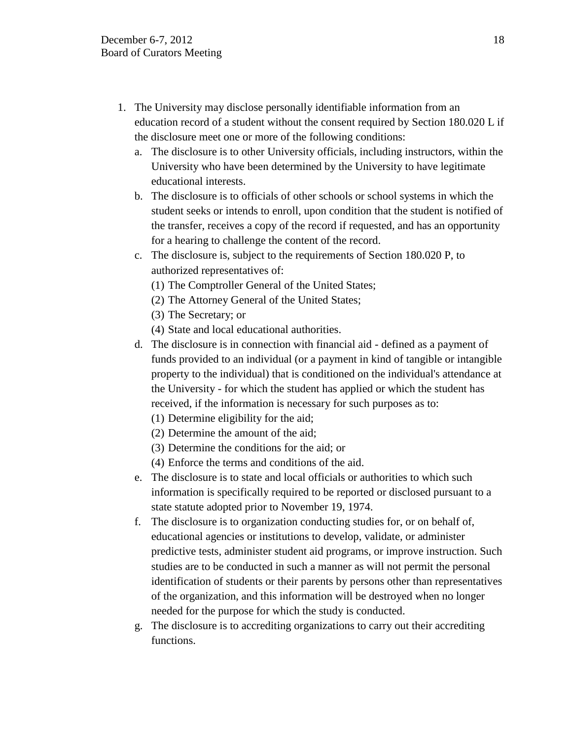- 1. The University may disclose personally identifiable information from an education record of a student without the consent required by Section 180.020 L if the disclosure meet one or more of the following conditions:
	- a. The disclosure is to other University officials, including instructors, within the University who have been determined by the University to have legitimate educational interests.
	- b. The disclosure is to officials of other schools or school systems in which the student seeks or intends to enroll, upon condition that the student is notified of the transfer, receives a copy of the record if requested, and has an opportunity for a hearing to challenge the content of the record.
	- c. The disclosure is, subject to the requirements of Section 180.020 P, to authorized representatives of:
		- (1) The Comptroller General of the United States;
		- (2) The Attorney General of the United States;
		- (3) The Secretary; or
		- (4) State and local educational authorities.
	- d. The disclosure is in connection with financial aid defined as a payment of funds provided to an individual (or a payment in kind of tangible or intangible property to the individual) that is conditioned on the individual's attendance at the University - for which the student has applied or which the student has received, if the information is necessary for such purposes as to:
		- (1) Determine eligibility for the aid;
		- (2) Determine the amount of the aid;
		- (3) Determine the conditions for the aid; or
		- (4) Enforce the terms and conditions of the aid.
	- e. The disclosure is to state and local officials or authorities to which such information is specifically required to be reported or disclosed pursuant to a state statute adopted prior to November 19, 1974.
	- f. The disclosure is to organization conducting studies for, or on behalf of, educational agencies or institutions to develop, validate, or administer predictive tests, administer student aid programs, or improve instruction. Such studies are to be conducted in such a manner as will not permit the personal identification of students or their parents by persons other than representatives of the organization, and this information will be destroyed when no longer needed for the purpose for which the study is conducted.
	- g. The disclosure is to accrediting organizations to carry out their accrediting functions.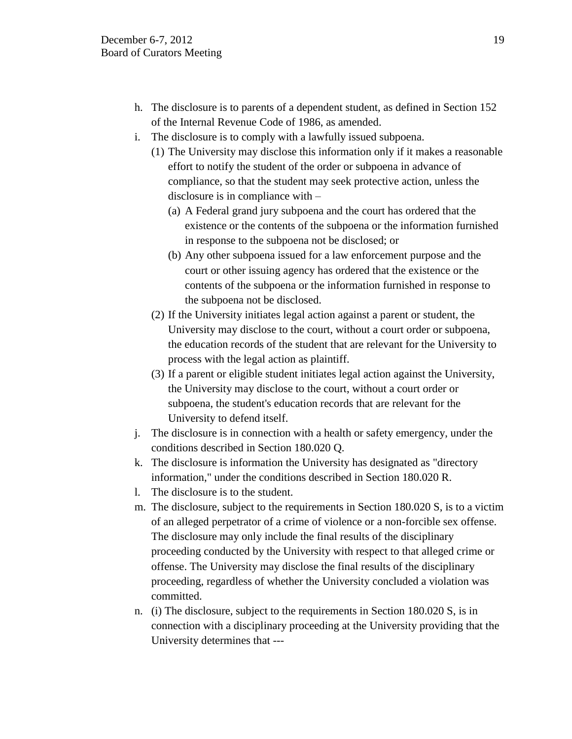- h. The disclosure is to parents of a dependent student, as defined in Section 152 of the Internal Revenue Code of 1986, as amended.
- i. The disclosure is to comply with a lawfully issued subpoena.
	- (1) The University may disclose this information only if it makes a reasonable effort to notify the student of the order or subpoena in advance of compliance, so that the student may seek protective action, unless the disclosure is in compliance with –
		- (a) A Federal grand jury subpoena and the court has ordered that the existence or the contents of the subpoena or the information furnished in response to the subpoena not be disclosed; or
		- (b) Any other subpoena issued for a law enforcement purpose and the court or other issuing agency has ordered that the existence or the contents of the subpoena or the information furnished in response to the subpoena not be disclosed.
	- (2) If the University initiates legal action against a parent or student, the University may disclose to the court, without a court order or subpoena, the education records of the student that are relevant for the University to process with the legal action as plaintiff.
	- (3) If a parent or eligible student initiates legal action against the University, the University may disclose to the court, without a court order or subpoena, the student's education records that are relevant for the University to defend itself.
- j. The disclosure is in connection with a health or safety emergency, under the conditions described in Section 180.020 Q.
- k. The disclosure is information the University has designated as "directory information," under the conditions described in Section 180.020 R.
- l. The disclosure is to the student.
- m. The disclosure, subject to the requirements in Section 180.020 S, is to a victim of an alleged perpetrator of a crime of violence or a non-forcible sex offense. The disclosure may only include the final results of the disciplinary proceeding conducted by the University with respect to that alleged crime or offense. The University may disclose the final results of the disciplinary proceeding, regardless of whether the University concluded a violation was committed.
- n. (i) The disclosure, subject to the requirements in Section 180.020 S, is in connection with a disciplinary proceeding at the University providing that the University determines that ---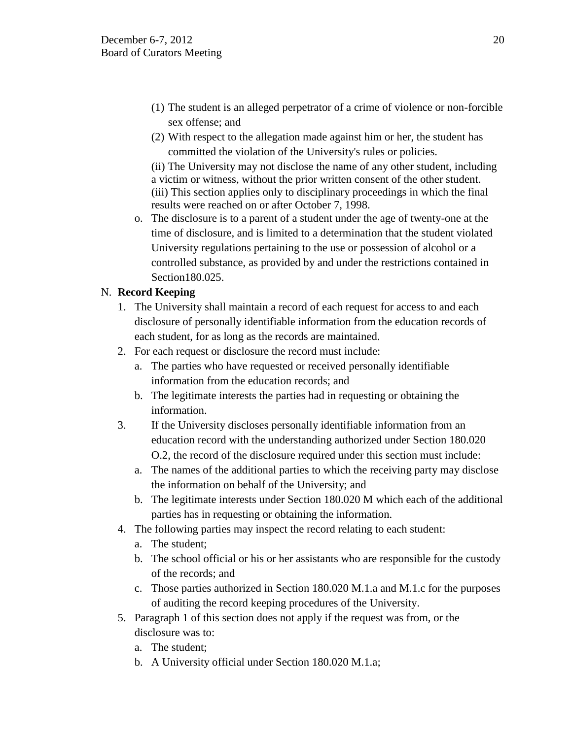- (1) The student is an alleged perpetrator of a crime of violence or non-forcible sex offense; and
- (2) With respect to the allegation made against him or her, the student has committed the violation of the University's rules or policies.

(ii) The University may not disclose the name of any other student, including a victim or witness, without the prior written consent of the other student. (iii) This section applies only to disciplinary proceedings in which the final results were reached on or after October 7, 1998.

o. The disclosure is to a parent of a student under the age of twenty-one at the time of disclosure, and is limited to a determination that the student violated University regulations pertaining to the use or possession of alcohol or a controlled substance, as provided by and under the restrictions contained in Section180.025.

# N. **Record Keeping**

- 1. The University shall maintain a record of each request for access to and each disclosure of personally identifiable information from the education records of each student, for as long as the records are maintained.
- 2. For each request or disclosure the record must include:
	- a. The parties who have requested or received personally identifiable information from the education records; and
	- b. The legitimate interests the parties had in requesting or obtaining the information.
- 3. If the University discloses personally identifiable information from an education record with the understanding authorized under Section 180.020 O.2, the record of the disclosure required under this section must include:
	- a. The names of the additional parties to which the receiving party may disclose the information on behalf of the University; and
	- b. The legitimate interests under Section 180.020 M which each of the additional parties has in requesting or obtaining the information.
- 4. The following parties may inspect the record relating to each student:
	- a. The student;
	- b. The school official or his or her assistants who are responsible for the custody of the records; and
	- c. Those parties authorized in Section 180.020 M.1.a and M.1.c for the purposes of auditing the record keeping procedures of the University.
- 5. Paragraph 1 of this section does not apply if the request was from, or the disclosure was to:
	- a. The student;
	- b. A University official under Section 180.020 M.1.a;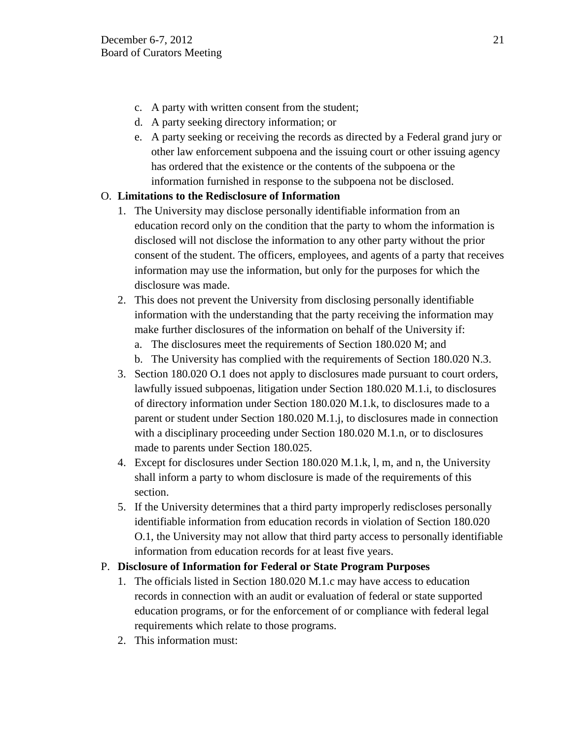- c. A party with written consent from the student;
- d. A party seeking directory information; or
- e. A party seeking or receiving the records as directed by a Federal grand jury or other law enforcement subpoena and the issuing court or other issuing agency has ordered that the existence or the contents of the subpoena or the information furnished in response to the subpoena not be disclosed.

# O. **Limitations to the Redisclosure of Information**

- 1. The University may disclose personally identifiable information from an education record only on the condition that the party to whom the information is disclosed will not disclose the information to any other party without the prior consent of the student. The officers, employees, and agents of a party that receives information may use the information, but only for the purposes for which the disclosure was made.
- 2. This does not prevent the University from disclosing personally identifiable information with the understanding that the party receiving the information may make further disclosures of the information on behalf of the University if:
	- a. The disclosures meet the requirements of Section 180.020 M; and
	- b. The University has complied with the requirements of Section 180.020 N.3.
- 3. Section 180.020 O.1 does not apply to disclosures made pursuant to court orders, lawfully issued subpoenas, litigation under Section 180.020 M.1.i, to disclosures of directory information under Section 180.020 M.1.k, to disclosures made to a parent or student under Section 180.020 M.1.j, to disclosures made in connection with a disciplinary proceeding under Section 180.020 M.1.n, or to disclosures made to parents under Section 180.025.
- 4. Except for disclosures under Section 180.020 M.1.k, l, m, and n, the University shall inform a party to whom disclosure is made of the requirements of this section.
- 5. If the University determines that a third party improperly rediscloses personally identifiable information from education records in violation of Section 180.020 O.1, the University may not allow that third party access to personally identifiable information from education records for at least five years.

# P. **Disclosure of Information for Federal or State Program Purposes**

- 1. The officials listed in Section 180.020 M.1.c may have access to education records in connection with an audit or evaluation of federal or state supported education programs, or for the enforcement of or compliance with federal legal requirements which relate to those programs.
- 2. This information must: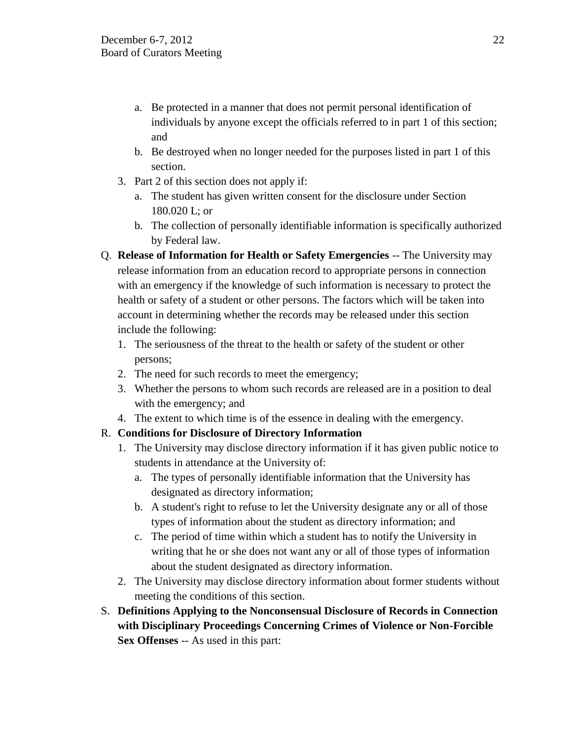- a. Be protected in a manner that does not permit personal identification of individuals by anyone except the officials referred to in part 1 of this section; and
- b. Be destroyed when no longer needed for the purposes listed in part 1 of this section.
- 3. Part 2 of this section does not apply if:
	- a. The student has given written consent for the disclosure under Section 180.020 L; or
	- b. The collection of personally identifiable information is specifically authorized by Federal law.
- Q. **Release of Information for Health or Safety Emergencies** -- The University may release information from an education record to appropriate persons in connection with an emergency if the knowledge of such information is necessary to protect the health or safety of a student or other persons. The factors which will be taken into account in determining whether the records may be released under this section include the following:
	- 1. The seriousness of the threat to the health or safety of the student or other persons;
	- 2. The need for such records to meet the emergency;
	- 3. Whether the persons to whom such records are released are in a position to deal with the emergency; and
	- 4. The extent to which time is of the essence in dealing with the emergency.

# R. **Conditions for Disclosure of Directory Information**

- 1. The University may disclose directory information if it has given public notice to students in attendance at the University of:
	- a. The types of personally identifiable information that the University has designated as directory information;
	- b. A student's right to refuse to let the University designate any or all of those types of information about the student as directory information; and
	- c. The period of time within which a student has to notify the University in writing that he or she does not want any or all of those types of information about the student designated as directory information.
- 2. The University may disclose directory information about former students without meeting the conditions of this section.
- S. **Definitions Applying to the Nonconsensual Disclosure of Records in Connection with Disciplinary Proceedings Concerning Crimes of Violence or Non-Forcible Sex Offenses** -- As used in this part: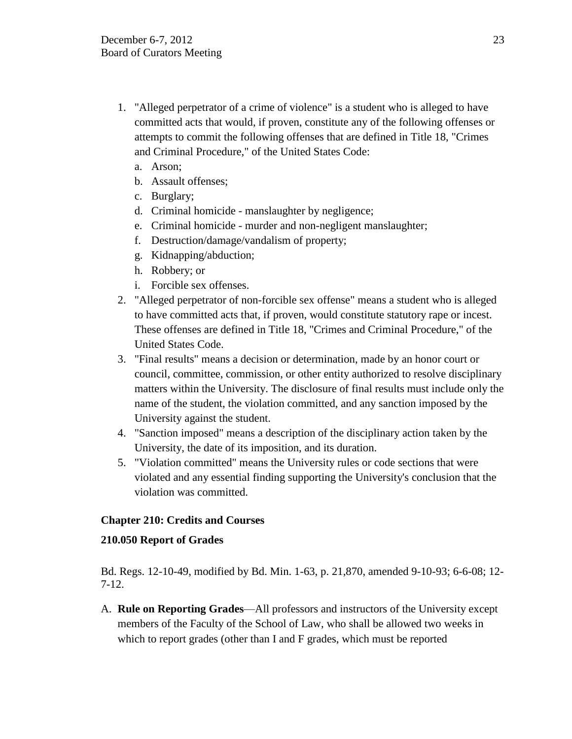- 1. "Alleged perpetrator of a crime of violence" is a student who is alleged to have committed acts that would, if proven, constitute any of the following offenses or attempts to commit the following offenses that are defined in Title 18, "Crimes and Criminal Procedure," of the United States Code:
	- a. Arson;
	- b. Assault offenses;
	- c. Burglary;
	- d. Criminal homicide manslaughter by negligence;
	- e. Criminal homicide murder and non-negligent manslaughter;
	- f. Destruction/damage/vandalism of property;
	- g. Kidnapping/abduction;
	- h. Robbery; or
	- i. Forcible sex offenses.
- 2. "Alleged perpetrator of non-forcible sex offense" means a student who is alleged to have committed acts that, if proven, would constitute statutory rape or incest. These offenses are defined in Title 18, "Crimes and Criminal Procedure," of the United States Code.
- 3. "Final results" means a decision or determination, made by an honor court or council, committee, commission, or other entity authorized to resolve disciplinary matters within the University. The disclosure of final results must include only the name of the student, the violation committed, and any sanction imposed by the University against the student.
- 4. "Sanction imposed" means a description of the disciplinary action taken by the University, the date of its imposition, and its duration.
- 5. "Violation committed" means the University rules or code sections that were violated and any essential finding supporting the University's conclusion that the violation was committed.

## **Chapter 210: Credits and Courses**

## **210.050 Report of Grades**

Bd. Regs. 12-10-49, modified by Bd. Min. 1-63, p. 21,870, amended 9-10-93; 6-6-08; 12- 7-12.

A. **Rule on Reporting Grades**—All professors and instructors of the University except members of the Faculty of the School of Law, who shall be allowed two weeks in which to report grades (other than I and F grades, which must be reported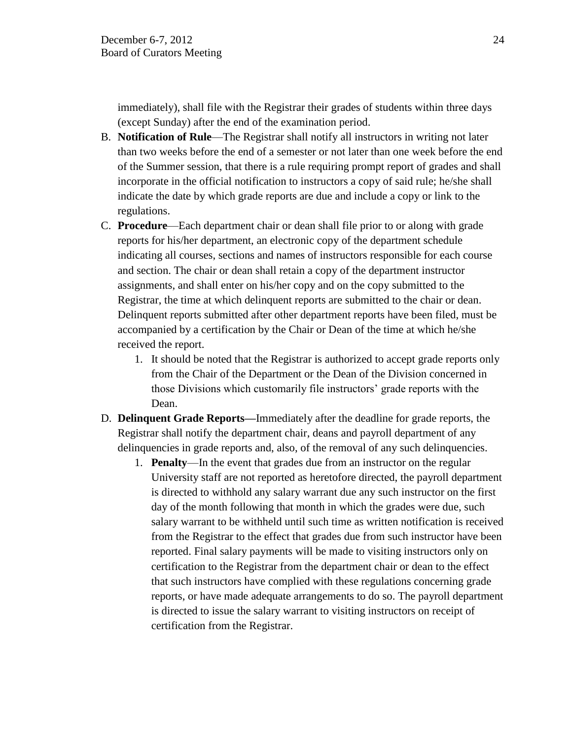immediately), shall file with the Registrar their grades of students within three days (except Sunday) after the end of the examination period.

- B. **Notification of Rule**—The Registrar shall notify all instructors in writing not later than two weeks before the end of a semester or not later than one week before the end of the Summer session, that there is a rule requiring prompt report of grades and shall incorporate in the official notification to instructors a copy of said rule; he/she shall indicate the date by which grade reports are due and include a copy or link to the regulations.
- C. **Procedure**—Each department chair or dean shall file prior to or along with grade reports for his/her department, an electronic copy of the department schedule indicating all courses, sections and names of instructors responsible for each course and section. The chair or dean shall retain a copy of the department instructor assignments, and shall enter on his/her copy and on the copy submitted to the Registrar, the time at which delinquent reports are submitted to the chair or dean. Delinquent reports submitted after other department reports have been filed, must be accompanied by a certification by the Chair or Dean of the time at which he/she received the report.
	- 1. It should be noted that the Registrar is authorized to accept grade reports only from the Chair of the Department or the Dean of the Division concerned in those Divisions which customarily file instructors' grade reports with the Dean.
- D. **Delinquent Grade Reports—**Immediately after the deadline for grade reports, the Registrar shall notify the department chair, deans and payroll department of any delinquencies in grade reports and, also, of the removal of any such delinquencies.
	- 1. **Penalty**—In the event that grades due from an instructor on the regular University staff are not reported as heretofore directed, the payroll department is directed to withhold any salary warrant due any such instructor on the first day of the month following that month in which the grades were due, such salary warrant to be withheld until such time as written notification is received from the Registrar to the effect that grades due from such instructor have been reported. Final salary payments will be made to visiting instructors only on certification to the Registrar from the department chair or dean to the effect that such instructors have complied with these regulations concerning grade reports, or have made adequate arrangements to do so. The payroll department is directed to issue the salary warrant to visiting instructors on receipt of certification from the Registrar.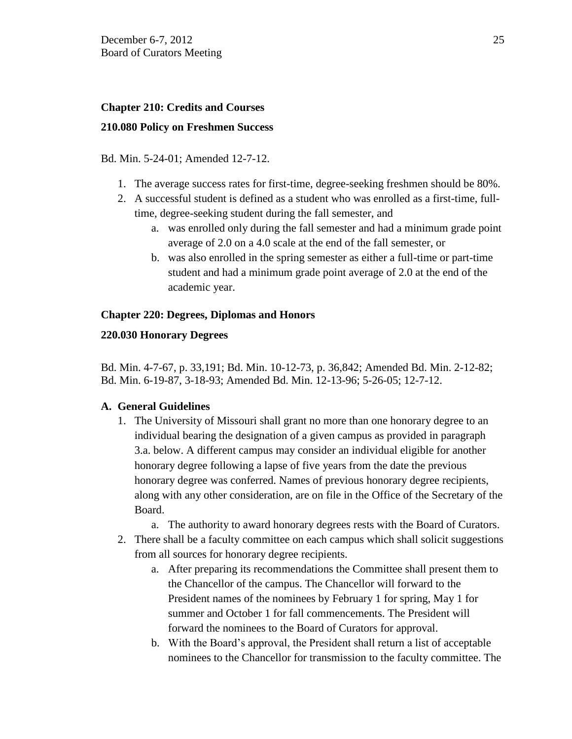# **Chapter 210: Credits and Courses 210.080 Policy on Freshmen Success**

## Bd. Min. 5-24-01; Amended 12-7-12.

- 1. The average success rates for first-time, degree-seeking freshmen should be 80%.
- 2. A successful student is defined as a student who was enrolled as a first-time, fulltime, degree-seeking student during the fall semester, and
	- a. was enrolled only during the fall semester and had a minimum grade point average of 2.0 on a 4.0 scale at the end of the fall semester, or
	- b. was also enrolled in the spring semester as either a full-time or part-time student and had a minimum grade point average of 2.0 at the end of the academic year.

## **Chapter 220: Degrees, Diplomas and Honors**

## **220.030 Honorary Degrees**

Bd. Min. 4-7-67, p. 33,191; Bd. Min. 10-12-73, p. 36,842; Amended Bd. Min. 2-12-82; Bd. Min. 6-19-87, 3-18-93; Amended Bd. Min. 12-13-96; 5-26-05; 12-7-12.

## **A. General Guidelines**

- 1. The University of Missouri shall grant no more than one honorary degree to an individual bearing the designation of a given campus as provided in paragraph 3.a. below. A different campus may consider an individual eligible for another honorary degree following a lapse of five years from the date the previous honorary degree was conferred. Names of previous honorary degree recipients, along with any other consideration, are on file in the Office of the Secretary of the Board.
	- a. The authority to award honorary degrees rests with the Board of Curators.
- 2. There shall be a faculty committee on each campus which shall solicit suggestions from all sources for honorary degree recipients.
	- a. After preparing its recommendations the Committee shall present them to the Chancellor of the campus. The Chancellor will forward to the President names of the nominees by February 1 for spring, May 1 for summer and October 1 for fall commencements. The President will forward the nominees to the Board of Curators for approval.
	- b. With the Board's approval, the President shall return a list of acceptable nominees to the Chancellor for transmission to the faculty committee. The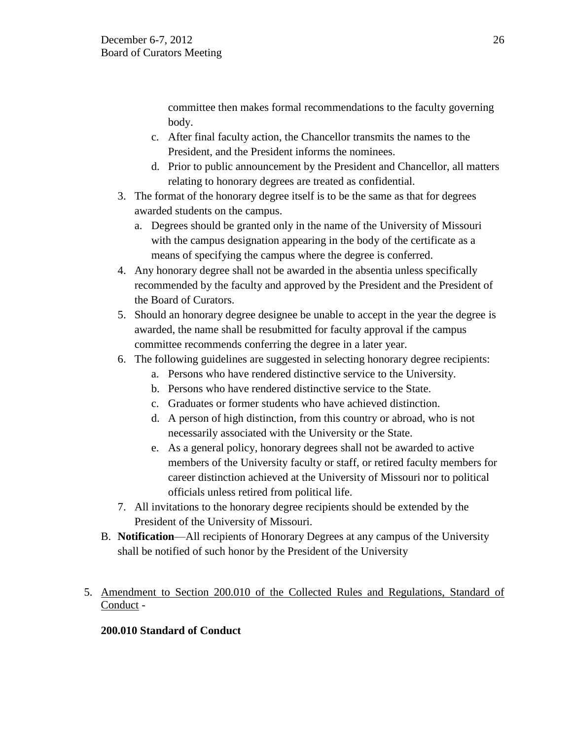committee then makes formal recommendations to the faculty governing body.

- c. After final faculty action, the Chancellor transmits the names to the President, and the President informs the nominees.
- d. Prior to public announcement by the President and Chancellor, all matters relating to honorary degrees are treated as confidential.
- 3. The format of the honorary degree itself is to be the same as that for degrees awarded students on the campus.
	- a. Degrees should be granted only in the name of the University of Missouri with the campus designation appearing in the body of the certificate as a means of specifying the campus where the degree is conferred.
- 4. Any honorary degree shall not be awarded in the absentia unless specifically recommended by the faculty and approved by the President and the President of the Board of Curators.
- 5. Should an honorary degree designee be unable to accept in the year the degree is awarded, the name shall be resubmitted for faculty approval if the campus committee recommends conferring the degree in a later year.
- 6. The following guidelines are suggested in selecting honorary degree recipients:
	- a. Persons who have rendered distinctive service to the University.
	- b. Persons who have rendered distinctive service to the State.
	- c. Graduates or former students who have achieved distinction.
	- d. A person of high distinction, from this country or abroad, who is not necessarily associated with the University or the State.
	- e. As a general policy, honorary degrees shall not be awarded to active members of the University faculty or staff, or retired faculty members for career distinction achieved at the University of Missouri nor to political officials unless retired from political life.
- 7. All invitations to the honorary degree recipients should be extended by the President of the University of Missouri.
- B. **Notification**—All recipients of Honorary Degrees at any campus of the University shall be notified of such honor by the President of the University
- 5. Amendment to Section 200.010 of the Collected Rules and Regulations, Standard of Conduct -

# **200.010 Standard of Conduct**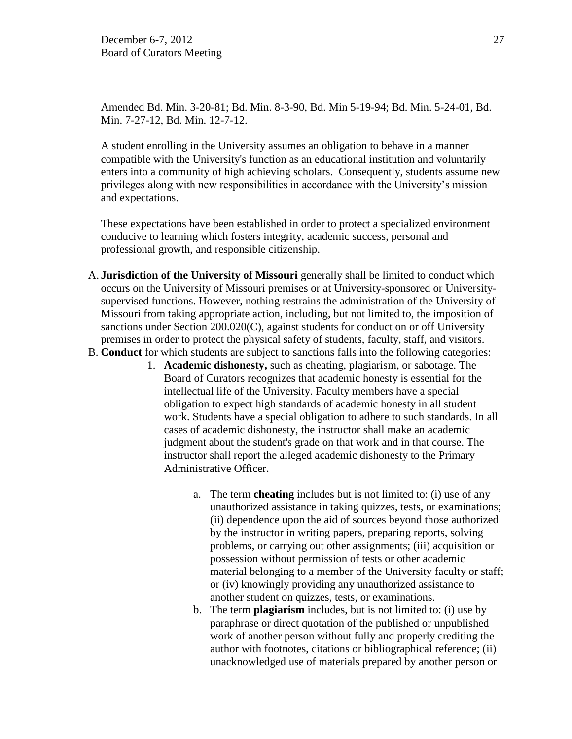Amended Bd. Min. 3-20-81; Bd. Min. 8-3-90, Bd. Min 5-19-94; Bd. Min. 5-24-01, Bd. Min. 7-27-12, Bd. Min. 12-7-12.

A student enrolling in the University assumes an obligation to behave in a manner compatible with the University's function as an educational institution and voluntarily enters into a community of high achieving scholars. Consequently, students assume new privileges along with new responsibilities in accordance with the University's mission and expectations.

These expectations have been established in order to protect a specialized environment conducive to learning which fosters integrity, academic success, personal and professional growth, and responsible citizenship.

- A. **Jurisdiction of the University of Missouri** generally shall be limited to conduct which occurs on the University of Missouri premises or at University-sponsored or Universitysupervised functions. However, nothing restrains the administration of the University of Missouri from taking appropriate action, including, but not limited to, the imposition of sanctions under Section 200.020(C), against students for conduct on or off University premises in order to protect the physical safety of students, faculty, staff, and visitors.
- B. **Conduct** for which students are subject to sanctions falls into the following categories:
	- 1. **Academic dishonesty,** such as cheating, plagiarism, or sabotage. The Board of Curators recognizes that academic honesty is essential for the intellectual life of the University. Faculty members have a special obligation to expect high standards of academic honesty in all student work. Students have a special obligation to adhere to such standards. In all cases of academic dishonesty, the instructor shall make an academic judgment about the student's grade on that work and in that course. The instructor shall report the alleged academic dishonesty to the Primary Administrative Officer.
		- a. The term **cheating** includes but is not limited to: (i) use of any unauthorized assistance in taking quizzes, tests, or examinations; (ii) dependence upon the aid of sources beyond those authorized by the instructor in writing papers, preparing reports, solving problems, or carrying out other assignments; (iii) acquisition or possession without permission of tests or other academic material belonging to a member of the University faculty or staff; or (iv) knowingly providing any unauthorized assistance to another student on quizzes, tests, or examinations.
		- b. The term **plagiarism** includes, but is not limited to: (i) use by paraphrase or direct quotation of the published or unpublished work of another person without fully and properly crediting the author with footnotes, citations or bibliographical reference; (ii) unacknowledged use of materials prepared by another person or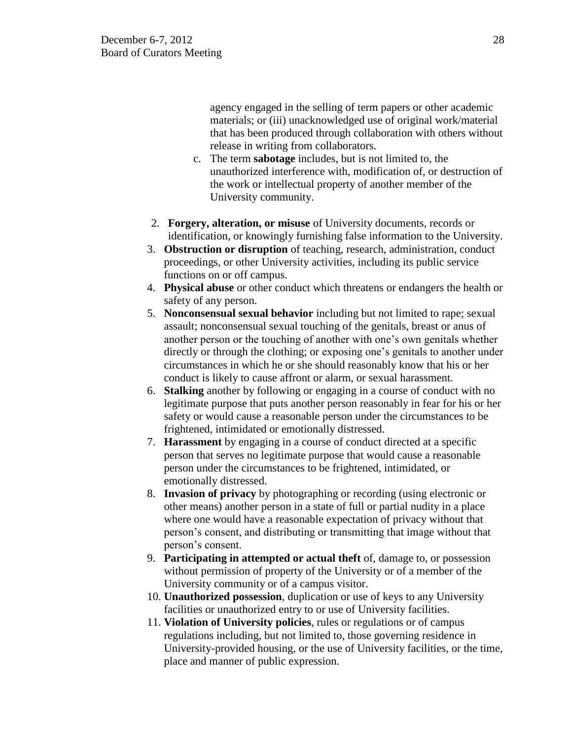agency engaged in the selling of term papers or other academic materials; or (iii) unacknowledged use of original work/material that has been produced through collaboration with others without release in writing from collaborators.

- c. The term **sabotage** includes, but is not limited to, the unauthorized interference with, modification of, or destruction of the work or intellectual property of another member of the University community.
- 2. **Forgery, alteration, or misuse** of University documents, records or identification, or knowingly furnishing false information to the University.
- 3. **Obstruction or disruption** of teaching, research, administration, conduct proceedings, or other University activities, including its public service functions on or off campus.
- 4. **Physical abuse** or other conduct which threatens or endangers the health or safety of any person.
- 5. **Nonconsensual sexual behavior** including but not limited to rape; sexual assault; nonconsensual sexual touching of the genitals, breast or anus of another person or the touching of another with one's own genitals whether directly or through the clothing; or exposing one's genitals to another under circumstances in which he or she should reasonably know that his or her conduct is likely to cause affront or alarm, or sexual harassment.
- 6. **Stalking** another by following or engaging in a course of conduct with no legitimate purpose that puts another person reasonably in fear for his or her safety or would cause a reasonable person under the circumstances to be frightened, intimidated or emotionally distressed.
- 7. **Harassment** by engaging in a course of conduct directed at a specific person that serves no legitimate purpose that would cause a reasonable person under the circumstances to be frightened, intimidated, or emotionally distressed.
- 8. **Invasion of privacy** by photographing or recording (using electronic or other means) another person in a state of full or partial nudity in a place where one would have a reasonable expectation of privacy without that person's consent, and distributing or transmitting that image without that person's consent.
- 9. **Participating in attempted or actual theft** of, damage to, or possession without permission of property of the University or of a member of the University community or of a campus visitor.
- 10. **Unauthorized possession**, duplication or use of keys to any University facilities or unauthorized entry to or use of University facilities.
- 11. **Violation of University policies**, rules or regulations or of campus regulations including, but not limited to, those governing residence in University-provided housing, or the use of University facilities, or the time, place and manner of public expression.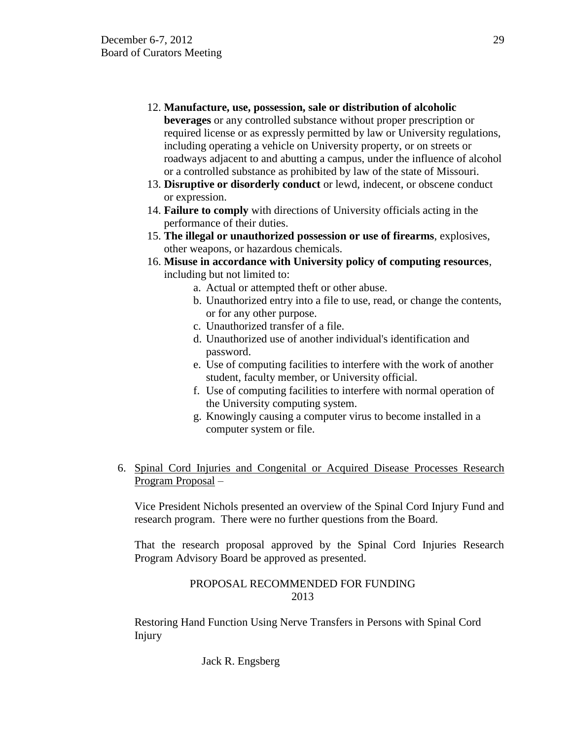12. **Manufacture, use, possession, sale or distribution of alcoholic** 

**beverages** or any controlled substance without proper prescription or required license or as expressly permitted by law or University regulations, including operating a vehicle on University property, or on streets or roadways adjacent to and abutting a campus, under the influence of alcohol or a controlled substance as prohibited by law of the state of Missouri.

- 13. **Disruptive or disorderly conduct** or lewd, indecent, or obscene conduct or expression.
- 14. **Failure to comply** with directions of University officials acting in the performance of their duties.
- 15. **The illegal or unauthorized possession or use of firearms**, explosives, other weapons, or hazardous chemicals.
- 16. **Misuse in accordance with University policy of computing resources**, including but not limited to:
	- a. Actual or attempted theft or other abuse.
		- b. Unauthorized entry into a file to use, read, or change the contents, or for any other purpose.
		- c. Unauthorized transfer of a file.
		- d. Unauthorized use of another individual's identification and password.
		- e. Use of computing facilities to interfere with the work of another student, faculty member, or University official.
		- f. Use of computing facilities to interfere with normal operation of the University computing system.
		- g. Knowingly causing a computer virus to become installed in a computer system or file.
- 6. Spinal Cord Injuries and Congenital or Acquired Disease Processes Research Program Proposal –

Vice President Nichols presented an overview of the Spinal Cord Injury Fund and research program. There were no further questions from the Board.

That the research proposal approved by the Spinal Cord Injuries Research Program Advisory Board be approved as presented.

## PROPOSAL RECOMMENDED FOR FUNDING 2013

Restoring Hand Function Using Nerve Transfers in Persons with Spinal Cord Injury

Jack R. Engsberg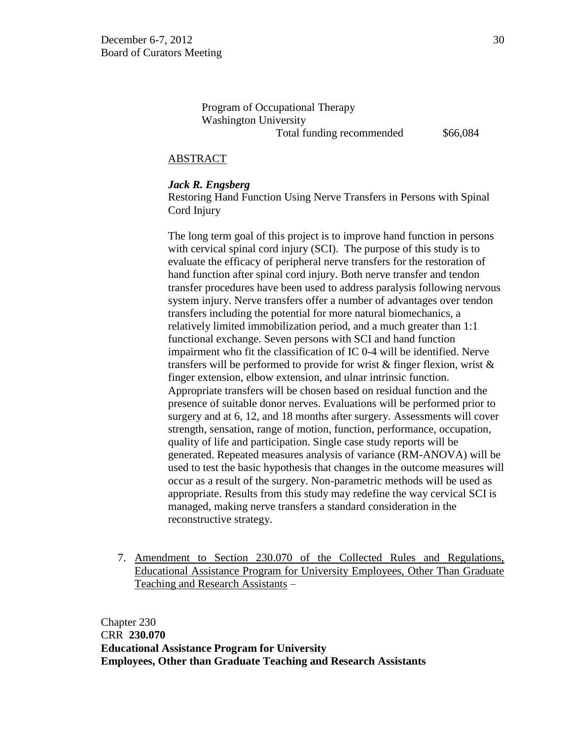Program of Occupational Therapy Washington University Total funding recommended  $$66,084$ 

## ABSTRACT

#### *Jack R. Engsberg*

Restoring Hand Function Using Nerve Transfers in Persons with Spinal Cord Injury

The long term goal of this project is to improve hand function in persons with cervical spinal cord injury (SCI). The purpose of this study is to evaluate the efficacy of peripheral nerve transfers for the restoration of hand function after spinal cord injury. Both nerve transfer and tendon transfer procedures have been used to address paralysis following nervous system injury. Nerve transfers offer a number of advantages over tendon transfers including the potential for more natural biomechanics, a relatively limited immobilization period, and a much greater than 1:1 functional exchange. Seven persons with SCI and hand function impairment who fit the classification of IC 0-4 will be identified. Nerve transfers will be performed to provide for wrist & finger flexion, wrist & finger extension, elbow extension, and ulnar intrinsic function. Appropriate transfers will be chosen based on residual function and the presence of suitable donor nerves. Evaluations will be performed prior to surgery and at 6, 12, and 18 months after surgery. Assessments will cover strength, sensation, range of motion, function, performance, occupation, quality of life and participation. Single case study reports will be generated. Repeated measures analysis of variance (RM-ANOVA) will be used to test the basic hypothesis that changes in the outcome measures will occur as a result of the surgery. Non-parametric methods will be used as appropriate. Results from this study may redefine the way cervical SCI is managed, making nerve transfers a standard consideration in the reconstructive strategy.

7. Amendment to Section 230.070 of the Collected Rules and Regulations, Educational Assistance Program for University Employees, Other Than Graduate Teaching and Research Assistants –

Chapter 230 CRR **230.070 Educational Assistance Program for University Employees, Other than Graduate Teaching and Research Assistants**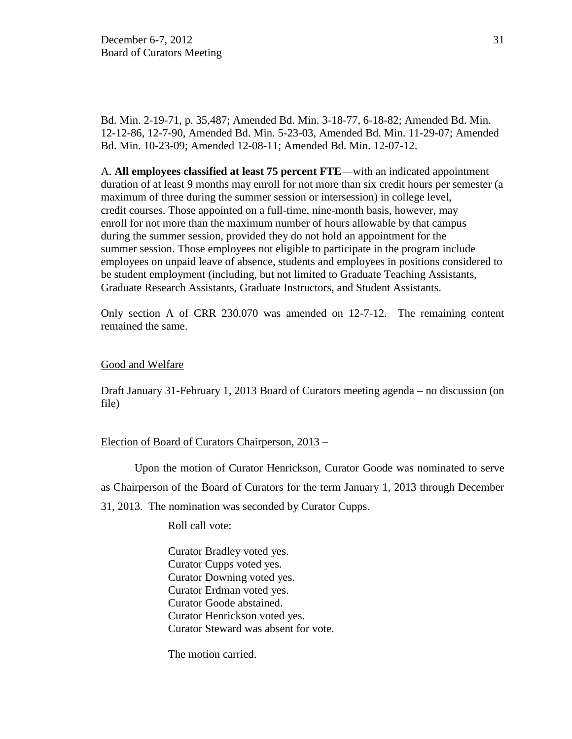Bd. Min. 2-19-71, p. 35,487; Amended Bd. Min. 3-18-77, 6-18-82; Amended Bd. Min. 12-12-86, 12-7-90, Amended Bd. Min. 5-23-03, Amended Bd. Min. 11-29-07; Amended Bd. Min. 10-23-09; Amended 12-08-11; Amended Bd. Min. 12-07-12.

A. **All employees classified at least 75 percent FTE**—with an indicated appointment duration of at least 9 months may enroll for not more than six credit hours per semester (a maximum of three during the summer session or intersession) in college level, credit courses. Those appointed on a full-time, nine-month basis, however, may enroll for not more than the maximum number of hours allowable by that campus during the summer session, provided they do not hold an appointment for the summer session. Those employees not eligible to participate in the program include employees on unpaid leave of absence, students and employees in positions considered to be student employment (including, but not limited to Graduate Teaching Assistants, Graduate Research Assistants, Graduate Instructors, and Student Assistants.

Only section A of CRR 230.070 was amended on 12-7-12. The remaining content remained the same.

## Good and Welfare

Draft January 31-February 1, 2013 Board of Curators meeting agenda – no discussion (on file)

## Election of Board of Curators Chairperson, 2013 –

Upon the motion of Curator Henrickson, Curator Goode was nominated to serve as Chairperson of the Board of Curators for the term January 1, 2013 through December 31, 2013. The nomination was seconded by Curator Cupps.

Roll call vote:

Curator Bradley voted yes. Curator Cupps voted yes. Curator Downing voted yes. Curator Erdman voted yes. Curator Goode abstained. Curator Henrickson voted yes. Curator Steward was absent for vote.

The motion carried.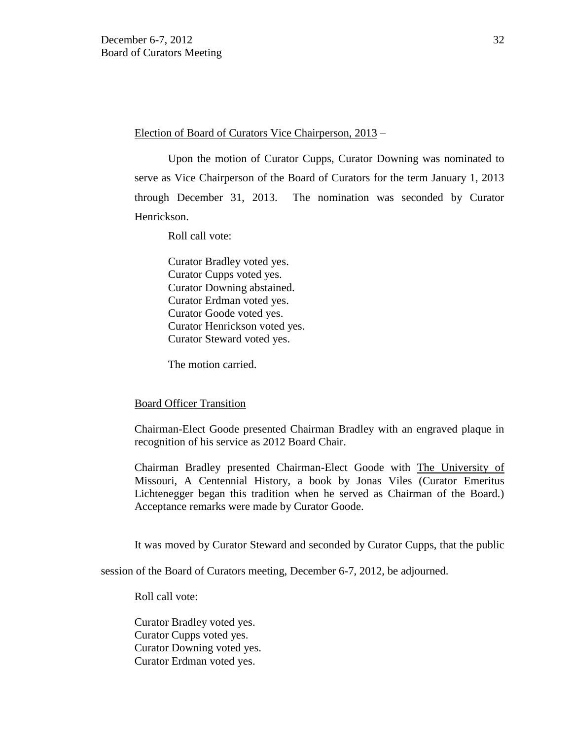Election of Board of Curators Vice Chairperson, 2013 –

Upon the motion of Curator Cupps, Curator Downing was nominated to serve as Vice Chairperson of the Board of Curators for the term January 1, 2013 through December 31, 2013. The nomination was seconded by Curator Henrickson.

Roll call vote:

Curator Bradley voted yes. Curator Cupps voted yes. Curator Downing abstained. Curator Erdman voted yes. Curator Goode voted yes. Curator Henrickson voted yes. Curator Steward voted yes.

The motion carried.

## Board Officer Transition

Chairman-Elect Goode presented Chairman Bradley with an engraved plaque in recognition of his service as 2012 Board Chair.

Chairman Bradley presented Chairman-Elect Goode with The University of Missouri, A Centennial History, a book by Jonas Viles (Curator Emeritus Lichtenegger began this tradition when he served as Chairman of the Board.) Acceptance remarks were made by Curator Goode.

It was moved by Curator Steward and seconded by Curator Cupps, that the public

session of the Board of Curators meeting, December 6-7, 2012, be adjourned.

Roll call vote:

Curator Bradley voted yes. Curator Cupps voted yes. Curator Downing voted yes. Curator Erdman voted yes.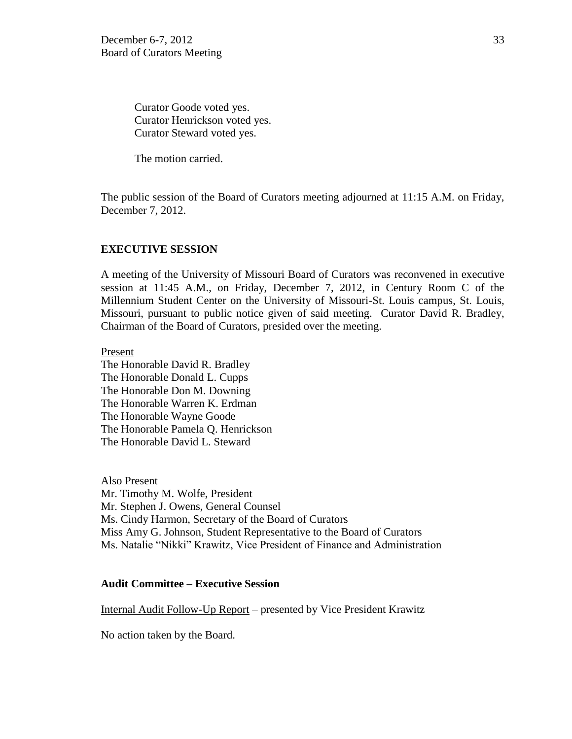Curator Goode voted yes. Curator Henrickson voted yes. Curator Steward voted yes.

The motion carried.

The public session of the Board of Curators meeting adjourned at 11:15 A.M. on Friday, December 7, 2012.

### **EXECUTIVE SESSION**

A meeting of the University of Missouri Board of Curators was reconvened in executive session at 11:45 A.M., on Friday, December 7, 2012, in Century Room C of the Millennium Student Center on the University of Missouri-St. Louis campus, St. Louis, Missouri, pursuant to public notice given of said meeting. Curator David R. Bradley, Chairman of the Board of Curators, presided over the meeting.

Present

The Honorable David R. Bradley The Honorable Donald L. Cupps The Honorable Don M. Downing The Honorable Warren K. Erdman The Honorable Wayne Goode The Honorable Pamela Q. Henrickson The Honorable David L. Steward

Also Present Mr. Timothy M. Wolfe, President Mr. Stephen J. Owens, General Counsel Ms. Cindy Harmon, Secretary of the Board of Curators Miss Amy G. Johnson, Student Representative to the Board of Curators Ms. Natalie "Nikki" Krawitz, Vice President of Finance and Administration

#### **Audit Committee – Executive Session**

Internal Audit Follow-Up Report – presented by Vice President Krawitz

No action taken by the Board.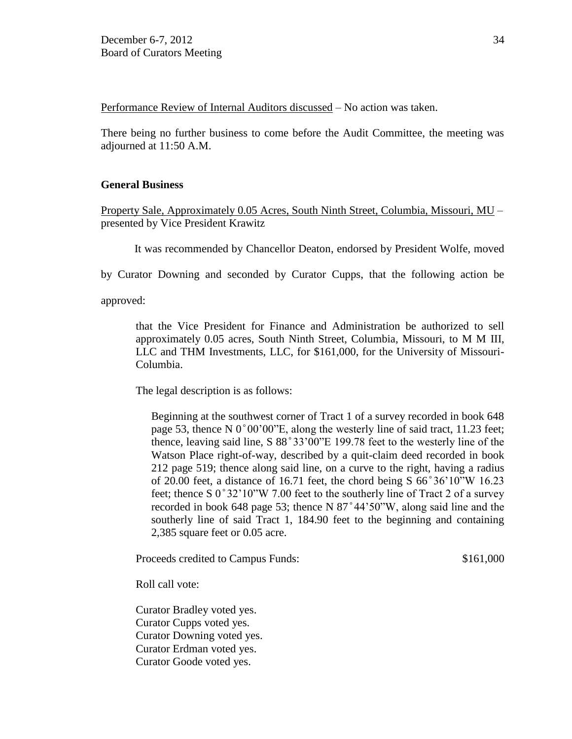Performance Review of Internal Auditors discussed – No action was taken.

There being no further business to come before the Audit Committee, the meeting was adjourned at 11:50 A.M.

## **General Business**

Property Sale, Approximately 0.05 Acres, South Ninth Street, Columbia, Missouri, MU – presented by Vice President Krawitz

It was recommended by Chancellor Deaton, endorsed by President Wolfe, moved

by Curator Downing and seconded by Curator Cupps, that the following action be

approved:

that the Vice President for Finance and Administration be authorized to sell approximately 0.05 acres, South Ninth Street, Columbia, Missouri, to M M III, LLC and THM Investments, LLC, for \$161,000, for the University of Missouri-Columbia.

The legal description is as follows:

Beginning at the southwest corner of Tract 1 of a survey recorded in book 648 page 53, thence N  $0^{\circ}00'00''E$ , along the westerly line of said tract, 11.23 feet; thence, leaving said line, S  $88^{\circ}33'00''E$  199.78 feet to the westerly line of the Watson Place right-of-way, described by a quit-claim deed recorded in book 212 page 519; thence along said line, on a curve to the right, having a radius of 20.00 feet, a distance of 16.71 feet, the chord being  $S\,66^{\circ}36'10''W\,16.23$ feet; thence S  $0^{\circ}32'10''W$  7.00 feet to the southerly line of Tract 2 of a survey recorded in book 648 page 53; thence N  $87^{\circ}44'50''W$ , along said line and the southerly line of said Tract 1, 184.90 feet to the beginning and containing 2,385 square feet or 0.05 acre.

Proceeds credited to Campus Funds:  $$161,000$ 

Roll call vote:

Curator Bradley voted yes. Curator Cupps voted yes. Curator Downing voted yes. Curator Erdman voted yes. Curator Goode voted yes.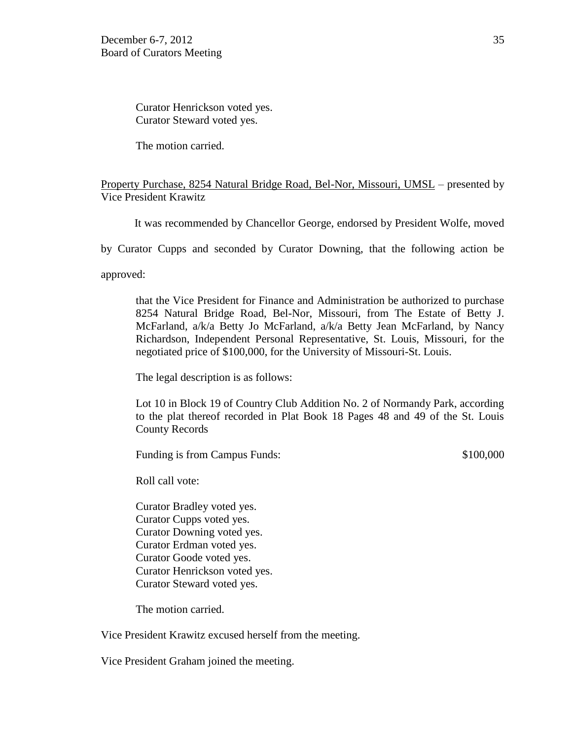Curator Henrickson voted yes. Curator Steward voted yes.

The motion carried.

## Property Purchase, 8254 Natural Bridge Road, Bel-Nor, Missouri, UMSL – presented by Vice President Krawitz

It was recommended by Chancellor George, endorsed by President Wolfe, moved

by Curator Cupps and seconded by Curator Downing, that the following action be

approved:

that the Vice President for Finance and Administration be authorized to purchase 8254 Natural Bridge Road, Bel-Nor, Missouri, from The Estate of Betty J. McFarland, a/k/a Betty Jo McFarland, a/k/a Betty Jean McFarland, by Nancy Richardson, Independent Personal Representative, St. Louis, Missouri, for the negotiated price of \$100,000, for the University of Missouri-St. Louis.

The legal description is as follows:

Lot 10 in Block 19 of Country Club Addition No. 2 of Normandy Park, according to the plat thereof recorded in Plat Book 18 Pages 48 and 49 of the St. Louis County Records

Funding is from Campus Funds:  $$100,000$ 

Roll call vote:

Curator Bradley voted yes. Curator Cupps voted yes. Curator Downing voted yes. Curator Erdman voted yes. Curator Goode voted yes. Curator Henrickson voted yes. Curator Steward voted yes.

The motion carried.

Vice President Krawitz excused herself from the meeting.

Vice President Graham joined the meeting.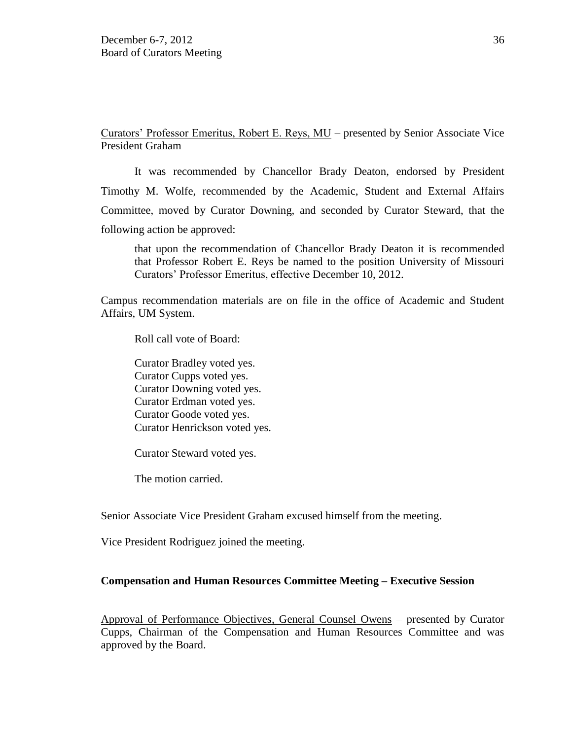Curators' Professor Emeritus, Robert E. Reys, MU – presented by Senior Associate Vice President Graham

It was recommended by Chancellor Brady Deaton, endorsed by President Timothy M. Wolfe, recommended by the Academic, Student and External Affairs Committee, moved by Curator Downing, and seconded by Curator Steward, that the following action be approved:

that upon the recommendation of Chancellor Brady Deaton it is recommended that Professor Robert E. Reys be named to the position University of Missouri Curators' Professor Emeritus, effective December 10, 2012.

Campus recommendation materials are on file in the office of Academic and Student Affairs, UM System.

Roll call vote of Board:

Curator Bradley voted yes. Curator Cupps voted yes. Curator Downing voted yes. Curator Erdman voted yes. Curator Goode voted yes. Curator Henrickson voted yes.

Curator Steward voted yes.

The motion carried.

Senior Associate Vice President Graham excused himself from the meeting.

Vice President Rodriguez joined the meeting.

#### **Compensation and Human Resources Committee Meeting – Executive Session**

Approval of Performance Objectives, General Counsel Owens – presented by Curator Cupps, Chairman of the Compensation and Human Resources Committee and was approved by the Board.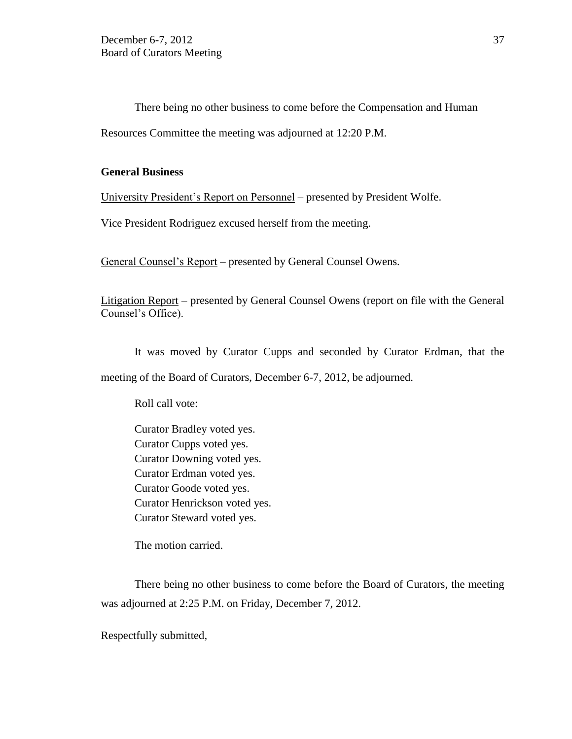There being no other business to come before the Compensation and Human Resources Committee the meeting was adjourned at 12:20 P.M.

## **General Business**

University President's Report on Personnel – presented by President Wolfe.

Vice President Rodriguez excused herself from the meeting.

General Counsel's Report – presented by General Counsel Owens.

Litigation Report – presented by General Counsel Owens (report on file with the General Counsel's Office).

It was moved by Curator Cupps and seconded by Curator Erdman, that the meeting of the Board of Curators, December 6-7, 2012, be adjourned.

Roll call vote:

Curator Bradley voted yes. Curator Cupps voted yes. Curator Downing voted yes. Curator Erdman voted yes. Curator Goode voted yes. Curator Henrickson voted yes. Curator Steward voted yes.

The motion carried.

There being no other business to come before the Board of Curators, the meeting was adjourned at 2:25 P.M. on Friday, December 7, 2012.

Respectfully submitted,